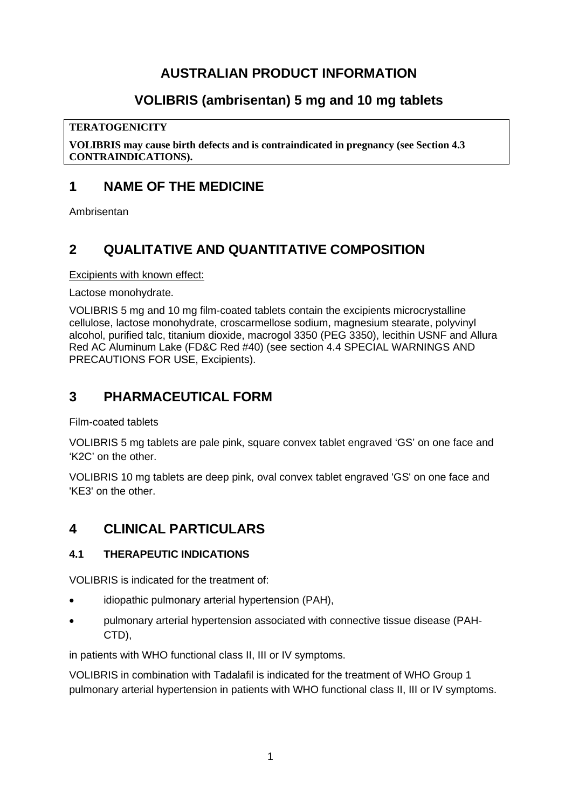# **AUSTRALIAN PRODUCT INFORMATION**

# **VOLIBRIS (ambrisentan) 5 mg and 10 mg tablets**

### **TERATOGENICITY**

**VOLIBRIS may cause birth defects and is contraindicated in pregnancy (see Section 4.3 CONTRAINDICATIONS).**

# **1 NAME OF THE MEDICINE**

Ambrisentan

# **2 QUALITATIVE AND QUANTITATIVE COMPOSITION**

Excipients with known effect:

Lactose monohydrate.

VOLIBRIS 5 mg and 10 mg film-coated tablets contain the excipients microcrystalline cellulose, lactose monohydrate, croscarmellose sodium, magnesium stearate, polyvinyl alcohol, purified talc, titanium dioxide, macrogol 3350 (PEG 3350), lecithin USNF and Allura Red AC Aluminum Lake (FD&C Red #40) (see section 4.4 SPECIAL WARNINGS AND PRECAUTIONS FOR USE, Excipients).

# **3 PHARMACEUTICAL FORM**

Film-coated tablets

VOLIBRIS 5 mg tablets are pale pink, square convex tablet engraved 'GS' on one face and 'K2C' on the other.

VOLIBRIS 10 mg tablets are deep pink, oval convex tablet engraved 'GS' on one face and 'KE3' on the other.

# **4 CLINICAL PARTICULARS**

### **4.1 THERAPEUTIC INDICATIONS**

VOLIBRIS is indicated for the treatment of:

- idiopathic pulmonary arterial hypertension (PAH),
- pulmonary arterial hypertension associated with connective tissue disease (PAH-CTD),

in patients with WHO functional class II, III or IV symptoms.

VOLIBRIS in combination with Tadalafil is indicated for the treatment of WHO Group 1 pulmonary arterial hypertension in patients with WHO functional class II, III or IV symptoms.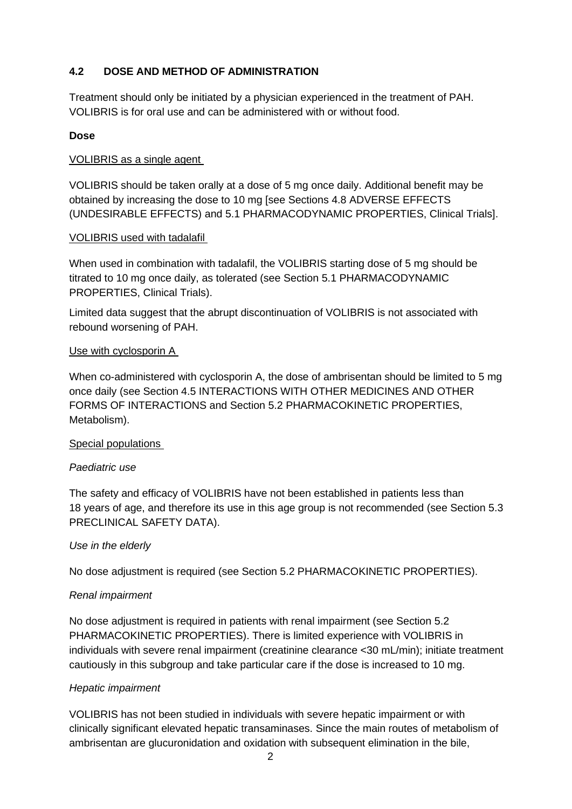## **4.2 DOSE AND METHOD OF ADMINISTRATION**

Treatment should only be initiated by a physician experienced in the treatment of PAH. VOLIBRIS is for oral use and can be administered with or without food.

### **Dose**

#### VOLIBRIS as a single agent

VOLIBRIS should be taken orally at a dose of 5 mg once daily. Additional benefit may be obtained by increasing the dose to 10 mg [see Sections 4.8 ADVERSE EFFECTS (UNDESIRABLE EFFECTS) and 5.1 PHARMACODYNAMIC PROPERTIES, Clinical Trials].

#### VOLIBRIS used with tadalafil

When used in combination with tadalafil, the VOLIBRIS starting dose of 5 mg should be titrated to 10 mg once daily, as tolerated (see Section 5.1 PHARMACODYNAMIC PROPERTIES, Clinical Trials).

Limited data suggest that the abrupt discontinuation of VOLIBRIS is not associated with rebound worsening of PAH.

### Use with cyclosporin A

When co-administered with cyclosporin A, the dose of ambrisentan should be limited to 5 mg once daily (see Section 4.5 INTERACTIONS WITH OTHER MEDICINES AND OTHER FORMS OF INTERACTIONS and Section 5.2 PHARMACOKINETIC PROPERTIES, Metabolism).

### Special populations

#### *Paediatric use*

The safety and efficacy of VOLIBRIS have not been established in patients less than 18 years of age, and therefore its use in this age group is not recommended (see Section 5.3 PRECLINICAL SAFETY DATA).

#### *Use in the elderly*

No dose adjustment is required (see Section 5.2 PHARMACOKINETIC PROPERTIES).

#### *Renal impairment*

No dose adjustment is required in patients with renal impairment (see Section 5.2 PHARMACOKINETIC PROPERTIES). There is limited experience with VOLIBRIS in individuals with severe renal impairment (creatinine clearance <30 mL/min); initiate treatment cautiously in this subgroup and take particular care if the dose is increased to 10 mg.

### *Hepatic impairment*

VOLIBRIS has not been studied in individuals with severe hepatic impairment or with clinically significant elevated hepatic transaminases. Since the main routes of metabolism of ambrisentan are glucuronidation and oxidation with subsequent elimination in the bile,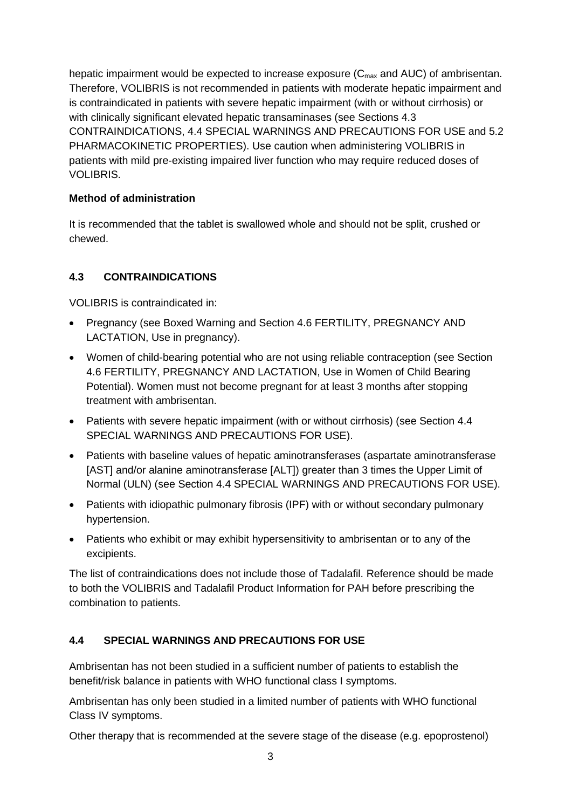hepatic impairment would be expected to increase exposure  $(C_{\text{max}}$  and AUC) of ambrisentan. Therefore, VOLIBRIS is not recommended in patients with moderate hepatic impairment and is contraindicated in patients with severe hepatic impairment (with or without cirrhosis) or with clinically significant elevated hepatic transaminases (see Sections 4.3 CONTRAINDICATIONS, 4.4 SPECIAL WARNINGS AND PRECAUTIONS FOR USE and 5.2 PHARMACOKINETIC PROPERTIES). Use caution when administering VOLIBRIS in patients with mild pre-existing impaired liver function who may require reduced doses of VOLIBRIS.

## **Method of administration**

It is recommended that the tablet is swallowed whole and should not be split, crushed or chewed.

## **4.3 CONTRAINDICATIONS**

VOLIBRIS is contraindicated in:

- Pregnancy (see Boxed Warning and Section 4.6 FERTILITY, PREGNANCY AND LACTATION, Use in pregnancy).
- Women of child-bearing potential who are not using reliable contraception (see Section 4.6 FERTILITY, PREGNANCY AND LACTATION, Use in Women of Child Bearing Potential). Women must not become pregnant for at least 3 months after stopping treatment with ambrisentan.
- Patients with severe hepatic impairment (with or without cirrhosis) (see Section 4.4 SPECIAL WARNINGS AND PRECAUTIONS FOR USE).
- Patients with baseline values of hepatic aminotransferases (aspartate aminotransferase [AST] and/or alanine aminotransferase [ALT]) greater than 3 times the Upper Limit of Normal (ULN) (see Section 4.4 SPECIAL WARNINGS AND PRECAUTIONS FOR USE).
- Patients with idiopathic pulmonary fibrosis (IPF) with or without secondary pulmonary hypertension.
- Patients who exhibit or may exhibit hypersensitivity to ambrisentan or to any of the excipients.

The list of contraindications does not include those of Tadalafil. Reference should be made to both the VOLIBRIS and Tadalafil Product Information for PAH before prescribing the combination to patients.

## **4.4 SPECIAL WARNINGS AND PRECAUTIONS FOR USE**

Ambrisentan has not been studied in a sufficient number of patients to establish the benefit/risk balance in patients with WHO functional class I symptoms.

Ambrisentan has only been studied in a limited number of patients with WHO functional Class IV symptoms.

Other therapy that is recommended at the severe stage of the disease (e.g. epoprostenol)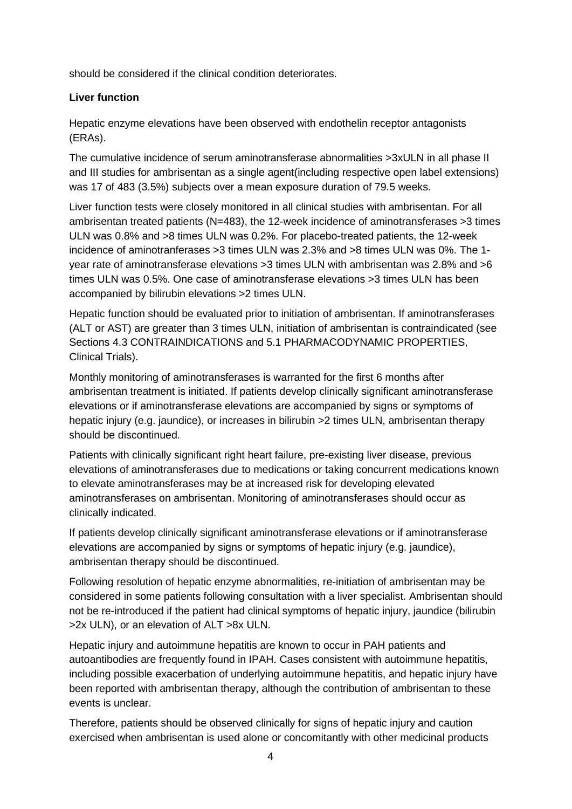should be considered if the clinical condition deteriorates.

## **Liver function**

Hepatic enzyme elevations have been observed with endothelin receptor antagonists (ERAs).

The cumulative incidence of serum aminotransferase abnormalities >3xULN in all phase II and III studies for ambrisentan as a single agent(including respective open label extensions) was 17 of 483 (3.5%) subjects over a mean exposure duration of 79.5 weeks.

Liver function tests were closely monitored in all clinical studies with ambrisentan. For all ambrisentan treated patients (N=483), the 12-week incidence of aminotransferases >3 times ULN was 0.8% and >8 times ULN was 0.2%. For placebo-treated patients, the 12-week incidence of aminotranferases >3 times ULN was 2.3% and >8 times ULN was 0%. The 1 year rate of aminotransferase elevations >3 times ULN with ambrisentan was 2.8% and >6 times ULN was 0.5%. One case of aminotransferase elevations >3 times ULN has been accompanied by bilirubin elevations >2 times ULN.

Hepatic function should be evaluated prior to initiation of ambrisentan. If aminotransferases (ALT or AST) are greater than 3 times ULN, initiation of ambrisentan is contraindicated (see Sections 4.3 CONTRAINDICATIONS and 5.1 PHARMACODYNAMIC PROPERTIES, Clinical Trials).

Monthly monitoring of aminotransferases is warranted for the first 6 months after ambrisentan treatment is initiated. If patients develop clinically significant aminotransferase elevations or if aminotransferase elevations are accompanied by signs or symptoms of hepatic injury (e.g. jaundice), or increases in bilirubin >2 times ULN, ambrisentan therapy should be discontinued.

Patients with clinically significant right heart failure, pre-existing liver disease, previous elevations of aminotransferases due to medications or taking concurrent medications known to elevate aminotransferases may be at increased risk for developing elevated aminotransferases on ambrisentan. Monitoring of aminotransferases should occur as clinically indicated.

If patients develop clinically significant aminotransferase elevations or if aminotransferase elevations are accompanied by signs or symptoms of hepatic injury (e.g. jaundice), ambrisentan therapy should be discontinued.

Following resolution of hepatic enzyme abnormalities, re-initiation of ambrisentan may be considered in some patients following consultation with a liver specialist. Ambrisentan should not be re-introduced if the patient had clinical symptoms of hepatic injury, jaundice (bilirubin >2x ULN), or an elevation of ALT >8x ULN.

Hepatic injury and autoimmune hepatitis are known to occur in PAH patients and autoantibodies are frequently found in IPAH. Cases consistent with autoimmune hepatitis, including possible exacerbation of underlying autoimmune hepatitis, and hepatic injury have been reported with ambrisentan therapy, although the contribution of ambrisentan to these events is unclear.

Therefore, patients should be observed clinically for signs of hepatic injury and caution exercised when ambrisentan is used alone or concomitantly with other medicinal products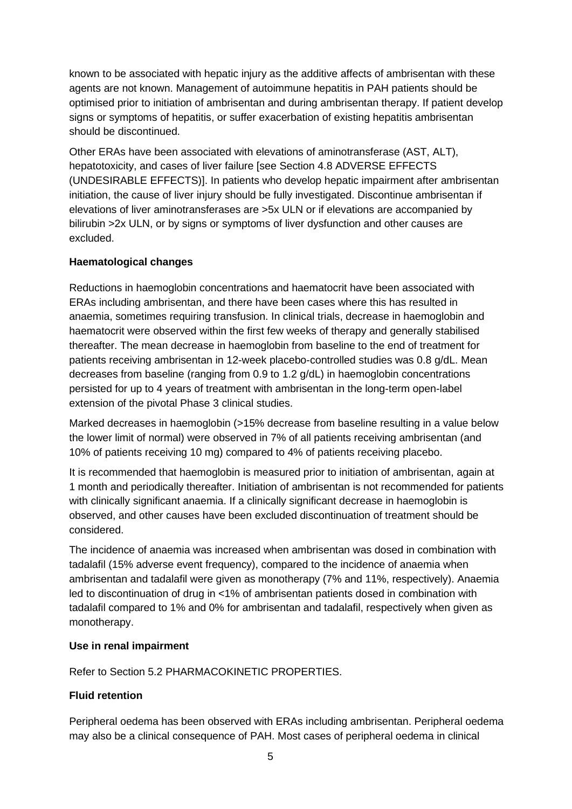known to be associated with hepatic injury as the additive affects of ambrisentan with these agents are not known. Management of autoimmune hepatitis in PAH patients should be optimised prior to initiation of ambrisentan and during ambrisentan therapy. If patient develop signs or symptoms of hepatitis, or suffer exacerbation of existing hepatitis ambrisentan should be discontinued.

Other ERAs have been associated with elevations of aminotransferase (AST, ALT), hepatotoxicity, and cases of liver failure [see Section 4.8 ADVERSE EFFECTS (UNDESIRABLE EFFECTS)]. In patients who develop hepatic impairment after ambrisentan initiation, the cause of liver injury should be fully investigated. Discontinue ambrisentan if elevations of liver aminotransferases are >5x ULN or if elevations are accompanied by bilirubin >2x ULN, or by signs or symptoms of liver dysfunction and other causes are excluded.

### **Haematological changes**

Reductions in haemoglobin concentrations and haematocrit have been associated with ERAs including ambrisentan, and there have been cases where this has resulted in anaemia, sometimes requiring transfusion. In clinical trials, decrease in haemoglobin and haematocrit were observed within the first few weeks of therapy and generally stabilised thereafter. The mean decrease in haemoglobin from baseline to the end of treatment for patients receiving ambrisentan in 12-week placebo-controlled studies was 0.8 g/dL. Mean decreases from baseline (ranging from 0.9 to 1.2 g/dL) in haemoglobin concentrations persisted for up to 4 years of treatment with ambrisentan in the long-term open-label extension of the pivotal Phase 3 clinical studies.

Marked decreases in haemoglobin (>15% decrease from baseline resulting in a value below the lower limit of normal) were observed in 7% of all patients receiving ambrisentan (and 10% of patients receiving 10 mg) compared to 4% of patients receiving placebo.

It is recommended that haemoglobin is measured prior to initiation of ambrisentan, again at 1 month and periodically thereafter. Initiation of ambrisentan is not recommended for patients with clinically significant anaemia. If a clinically significant decrease in haemoglobin is observed, and other causes have been excluded discontinuation of treatment should be considered.

The incidence of anaemia was increased when ambrisentan was dosed in combination with tadalafil (15% adverse event frequency), compared to the incidence of anaemia when ambrisentan and tadalafil were given as monotherapy (7% and 11%, respectively). Anaemia led to discontinuation of drug in <1% of ambrisentan patients dosed in combination with tadalafil compared to 1% and 0% for ambrisentan and tadalafil, respectively when given as monotherapy.

### **Use in renal impairment**

Refer to Section 5.2 PHARMACOKINETIC PROPERTIES.

## **Fluid retention**

Peripheral oedema has been observed with ERAs including ambrisentan. Peripheral oedema may also be a clinical consequence of PAH. Most cases of peripheral oedema in clinical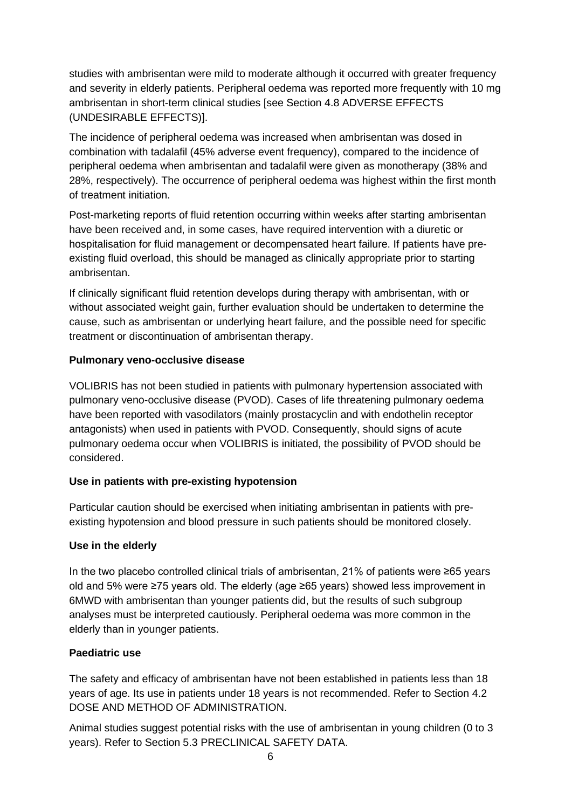studies with ambrisentan were mild to moderate although it occurred with greater frequency and severity in elderly patients. Peripheral oedema was reported more frequently with 10 mg ambrisentan in short-term clinical studies [see Section 4.8 ADVERSE EFFECTS (UNDESIRABLE EFFECTS)].

The incidence of peripheral oedema was increased when ambrisentan was dosed in combination with tadalafil (45% adverse event frequency), compared to the incidence of peripheral oedema when ambrisentan and tadalafil were given as monotherapy (38% and 28%, respectively). The occurrence of peripheral oedema was highest within the first month of treatment initiation.

Post-marketing reports of fluid retention occurring within weeks after starting ambrisentan have been received and, in some cases, have required intervention with a diuretic or hospitalisation for fluid management or decompensated heart failure. If patients have preexisting fluid overload, this should be managed as clinically appropriate prior to starting ambrisentan.

If clinically significant fluid retention develops during therapy with ambrisentan, with or without associated weight gain, further evaluation should be undertaken to determine the cause, such as ambrisentan or underlying heart failure, and the possible need for specific treatment or discontinuation of ambrisentan therapy.

## **Pulmonary veno-occlusive disease**

VOLIBRIS has not been studied in patients with pulmonary hypertension associated with pulmonary veno-occlusive disease (PVOD). Cases of life threatening pulmonary oedema have been reported with vasodilators (mainly prostacyclin and with endothelin receptor antagonists) when used in patients with PVOD. Consequently, should signs of acute pulmonary oedema occur when VOLIBRIS is initiated, the possibility of PVOD should be considered.

## **Use in patients with pre-existing hypotension**

Particular caution should be exercised when initiating ambrisentan in patients with preexisting hypotension and blood pressure in such patients should be monitored closely.

### **Use in the elderly**

In the two placebo controlled clinical trials of ambrisentan, 21% of patients were ≥65 years old and 5% were ≥75 years old. The elderly (age ≥65 years) showed less improvement in 6MWD with ambrisentan than younger patients did, but the results of such subgroup analyses must be interpreted cautiously. Peripheral oedema was more common in the elderly than in younger patients.

## **Paediatric use**

The safety and efficacy of ambrisentan have not been established in patients less than 18 years of age. Its use in patients under 18 years is not recommended. Refer to Section 4.2 DOSE AND METHOD OF ADMINISTRATION.

Animal studies suggest potential risks with the use of ambrisentan in young children (0 to 3 years). Refer to Section 5.3 PRECLINICAL SAFETY DATA.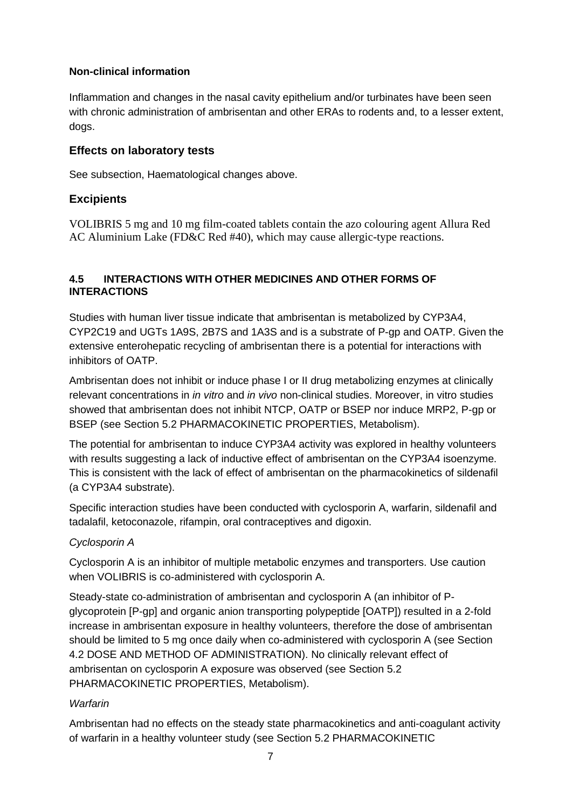### **Non-clinical information**

Inflammation and changes in the nasal cavity epithelium and/or turbinates have been seen with chronic administration of ambrisentan and other ERAs to rodents and, to a lesser extent, dogs.

## **Effects on laboratory tests**

See subsection, Haematological changes above.

## **Excipients**

VOLIBRIS 5 mg and 10 mg film-coated tablets contain the azo colouring agent Allura Red AC Aluminium Lake (FD&C Red #40), which may cause allergic-type reactions.

### **4.5 INTERACTIONS WITH OTHER MEDICINES AND OTHER FORMS OF INTERACTIONS**

Studies with human liver tissue indicate that ambrisentan is metabolized by CYP3A4, CYP2C19 and UGTs 1A9S, 2B7S and 1A3S and is a substrate of P-gp and OATP. Given the extensive enterohepatic recycling of ambrisentan there is a potential for interactions with inhibitors of OATP.

Ambrisentan does not inhibit or induce phase I or II drug metabolizing enzymes at clinically relevant concentrations in *in vitro* and *in vivo* non-clinical studies. Moreover, in vitro studies showed that ambrisentan does not inhibit NTCP, OATP or BSEP nor induce MRP2, P-gp or BSEP (see Section 5.2 PHARMACOKINETIC PROPERTIES, Metabolism).

The potential for ambrisentan to induce CYP3A4 activity was explored in healthy volunteers with results suggesting a lack of inductive effect of ambrisentan on the CYP3A4 isoenzyme. This is consistent with the lack of effect of ambrisentan on the pharmacokinetics of sildenafil (a CYP3A4 substrate).

Specific interaction studies have been conducted with cyclosporin A, warfarin, sildenafil and tadalafil, ketoconazole, rifampin, oral contraceptives and digoxin.

### *Cyclosporin A*

Cyclosporin A is an inhibitor of multiple metabolic enzymes and transporters. Use caution when VOLIBRIS is co-administered with cyclosporin A.

Steady-state co-administration of ambrisentan and cyclosporin A (an inhibitor of Pglycoprotein [P-gp] and organic anion transporting polypeptide [OATP]) resulted in a 2-fold increase in ambrisentan exposure in healthy volunteers, therefore the dose of ambrisentan should be limited to 5 mg once daily when co-administered with cyclosporin A (see Section 4.2 DOSE AND METHOD OF ADMINISTRATION). No clinically relevant effect of ambrisentan on cyclosporin A exposure was observed (see Section 5.2 PHARMACOKINETIC PROPERTIES, Metabolism).

### *Warfarin*

Ambrisentan had no effects on the steady state pharmacokinetics and anti-coagulant activity of warfarin in a healthy volunteer study (see Section 5.2 PHARMACOKINETIC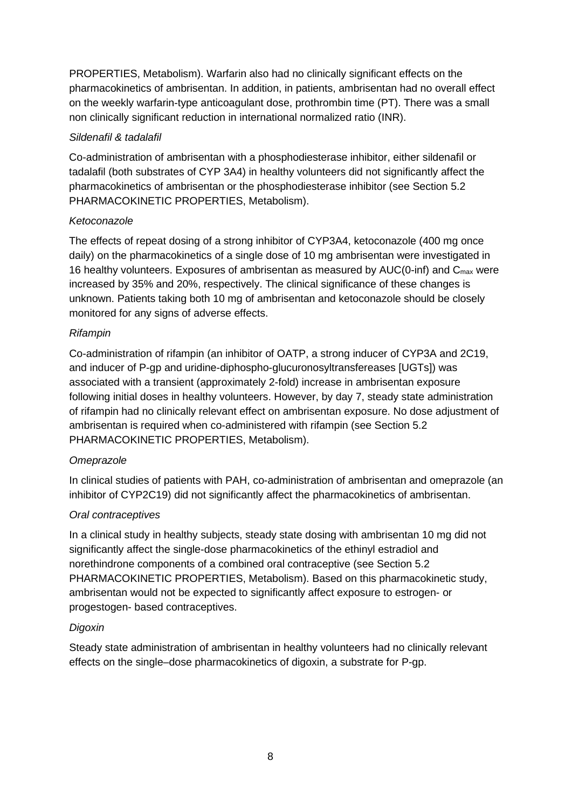PROPERTIES, Metabolism). Warfarin also had no clinically significant effects on the pharmacokinetics of ambrisentan. In addition, in patients, ambrisentan had no overall effect on the weekly warfarin-type anticoagulant dose, prothrombin time (PT). There was a small non clinically significant reduction in international normalized ratio (INR).

### *Sildenafil & tadalafil*

Co-administration of ambrisentan with a phosphodiesterase inhibitor, either sildenafil or tadalafil (both substrates of CYP 3A4) in healthy volunteers did not significantly affect the pharmacokinetics of ambrisentan or the phosphodiesterase inhibitor (see Section 5.2 PHARMACOKINETIC PROPERTIES, Metabolism).

### *Ketoconazole*

The effects of repeat dosing of a strong inhibitor of CYP3A4, ketoconazole (400 mg once daily) on the pharmacokinetics of a single dose of 10 mg ambrisentan were investigated in 16 healthy volunteers. Exposures of ambrisentan as measured by  $AUC(0\text{-}inf)$  and  $C_{\text{max}}$  were increased by 35% and 20%, respectively. The clinical significance of these changes is unknown. Patients taking both 10 mg of ambrisentan and ketoconazole should be closely monitored for any signs of adverse effects.

### *Rifampin*

Co-administration of rifampin (an inhibitor of OATP, a strong inducer of CYP3A and 2C19, and inducer of P-gp and uridine-diphospho-glucuronosyltransfereases [UGTs]) was associated with a transient (approximately 2-fold) increase in ambrisentan exposure following initial doses in healthy volunteers. However, by day 7, steady state administration of rifampin had no clinically relevant effect on ambrisentan exposure. No dose adjustment of ambrisentan is required when co-administered with rifampin (see Section 5.2 PHARMACOKINETIC PROPERTIES, Metabolism).

### *Omeprazole*

In clinical studies of patients with PAH, co-administration of ambrisentan and omeprazole (an inhibitor of CYP2C19) did not significantly affect the pharmacokinetics of ambrisentan.

### *Oral contraceptives*

In a clinical study in healthy subjects, steady state dosing with ambrisentan 10 mg did not significantly affect the single-dose pharmacokinetics of the ethinyl estradiol and norethindrone components of a combined oral contraceptive (see Section 5.2 PHARMACOKINETIC PROPERTIES, Metabolism). Based on this pharmacokinetic study, ambrisentan would not be expected to significantly affect exposure to estrogen- or progestogen- based contraceptives.

### *Digoxin*

Steady state administration of ambrisentan in healthy volunteers had no clinically relevant effects on the single–dose pharmacokinetics of digoxin, a substrate for P-gp.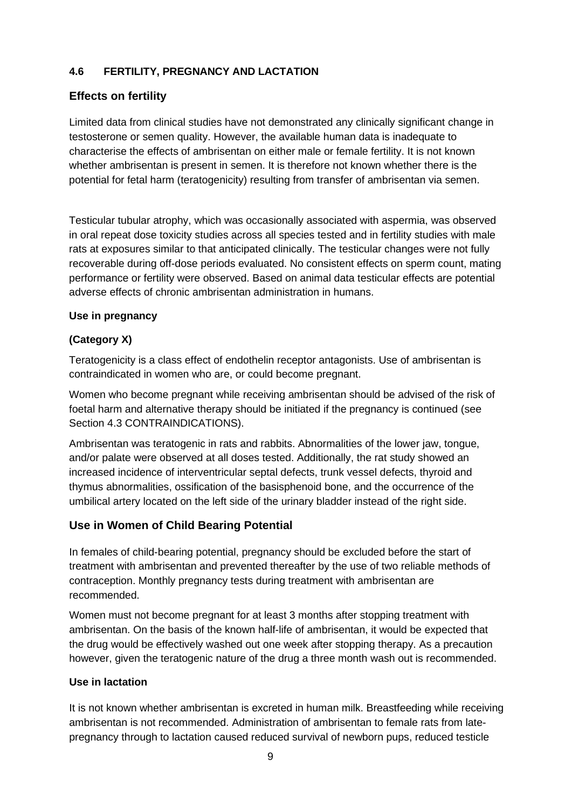## **4.6 FERTILITY, PREGNANCY AND LACTATION**

## **Effects on fertility**

Limited data from clinical studies have not demonstrated any clinically significant change in testosterone or semen quality. However, the available human data is inadequate to characterise the effects of ambrisentan on either male or female fertility. It is not known whether ambrisentan is present in semen. It is therefore not known whether there is the potential for fetal harm (teratogenicity) resulting from transfer of ambrisentan via semen.

Testicular tubular atrophy, which was occasionally associated with aspermia, was observed in oral repeat dose toxicity studies across all species tested and in fertility studies with male rats at exposures similar to that anticipated clinically. The testicular changes were not fully recoverable during off-dose periods evaluated. No consistent effects on sperm count, mating performance or fertility were observed. Based on animal data testicular effects are potential adverse effects of chronic ambrisentan administration in humans.

## **Use in pregnancy**

## **(Category X)**

Teratogenicity is a class effect of endothelin receptor antagonists. Use of ambrisentan is contraindicated in women who are, or could become pregnant.

Women who become pregnant while receiving ambrisentan should be advised of the risk of foetal harm and alternative therapy should be initiated if the pregnancy is continued (see Section 4.3 CONTRAINDICATIONS).

Ambrisentan was teratogenic in rats and rabbits. Abnormalities of the lower jaw, tongue, and/or palate were observed at all doses tested. Additionally, the rat study showed an increased incidence of interventricular septal defects, trunk vessel defects, thyroid and thymus abnormalities, ossification of the basisphenoid bone, and the occurrence of the umbilical artery located on the left side of the urinary bladder instead of the right side.

## **Use in Women of Child Bearing Potential**

In females of child-bearing potential, pregnancy should be excluded before the start of treatment with ambrisentan and prevented thereafter by the use of two reliable methods of contraception. Monthly pregnancy tests during treatment with ambrisentan are recommended.

Women must not become pregnant for at least 3 months after stopping treatment with ambrisentan. On the basis of the known half-life of ambrisentan, it would be expected that the drug would be effectively washed out one week after stopping therapy. As a precaution however, given the teratogenic nature of the drug a three month wash out is recommended.

### **Use in lactation**

It is not known whether ambrisentan is excreted in human milk. Breastfeeding while receiving ambrisentan is not recommended. Administration of ambrisentan to female rats from latepregnancy through to lactation caused reduced survival of newborn pups, reduced testicle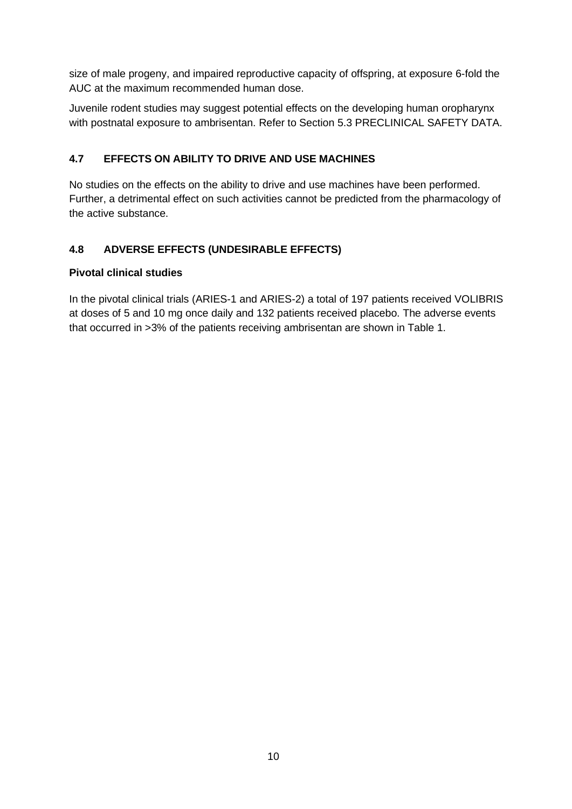size of male progeny, and impaired reproductive capacity of offspring, at exposure 6-fold the AUC at the maximum recommended human dose.

Juvenile rodent studies may suggest potential effects on the developing human oropharynx with postnatal exposure to ambrisentan. Refer to Section 5.3 PRECLINICAL SAFETY DATA.

## **4.7 EFFECTS ON ABILITY TO DRIVE AND USE MACHINES**

No studies on the effects on the ability to drive and use machines have been performed. Further, a detrimental effect on such activities cannot be predicted from the pharmacology of the active substance.

## **4.8 ADVERSE EFFECTS (UNDESIRABLE EFFECTS)**

## **Pivotal clinical studies**

In the pivotal clinical trials (ARIES-1 and ARIES-2) a total of 197 patients received VOLIBRIS at doses of 5 and 10 mg once daily and 132 patients received placebo. The adverse events that occurred in >3% of the patients receiving ambrisentan are shown in Table 1.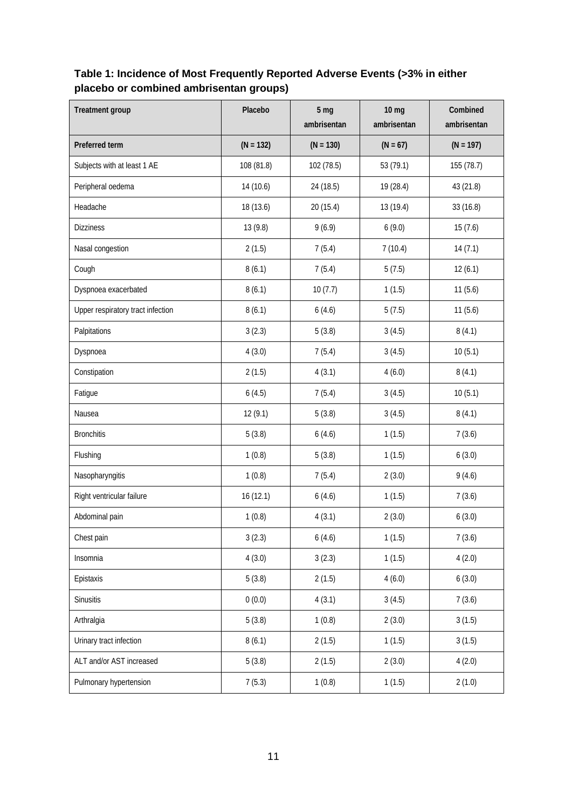## **Table 1: Incidence of Most Frequently Reported Adverse Events (>3% in either placebo or combined ambrisentan groups)**

| <b>Treatment group</b>            | Placebo     | 5 <sub>mg</sub><br>ambrisentan | 10 <sub>mg</sub><br>ambrisentan | Combined<br>ambrisentan |
|-----------------------------------|-------------|--------------------------------|---------------------------------|-------------------------|
| Preferred term                    | $(N = 132)$ | $(N = 130)$                    | $(N = 67)$                      | $(N = 197)$             |
| Subjects with at least 1 AE       | 108 (81.8)  | 102 (78.5)                     | 53 (79.1)                       | 155 (78.7)              |
| Peripheral oedema                 | 14 (10.6)   | 24 (18.5)                      | 19 (28.4)                       | 43 (21.8)               |
| Headache                          | 18 (13.6)   | 20 (15.4)                      | 13 (19.4)                       | 33 (16.8)               |
| <b>Dizziness</b>                  | 13 (9.8)    | 9(6.9)                         | 6(9.0)                          | 15(7.6)                 |
| Nasal congestion                  | 2(1.5)      | 7(5.4)                         | 7(10.4)                         | 14(7.1)                 |
| Cough                             | 8(6.1)      | 7(5.4)                         | 5(7.5)                          | 12(6.1)                 |
| Dyspnoea exacerbated              | 8(6.1)      | 10(7.7)                        | 1(1.5)                          | 11(5.6)                 |
| Upper respiratory tract infection | 8(6.1)      | 6(4.6)                         | 5(7.5)                          | 11(5.6)                 |
| Palpitations                      | 3(2.3)      | 5(3.8)                         | 3(4.5)                          | 8(4.1)                  |
| Dyspnoea                          | 4(3.0)      | 7(5.4)                         | 3(4.5)                          | 10(5.1)                 |
| Constipation                      | 2(1.5)      | 4(3.1)                         | 4(6.0)                          | 8(4.1)                  |
| Fatigue                           | 6(4.5)      | 7(5.4)                         | 3(4.5)                          | 10(5.1)                 |
| Nausea                            | 12(9.1)     | 5(3.8)                         | 3(4.5)                          | 8(4.1)                  |
| <b>Bronchitis</b>                 | 5(3.8)      | 6(4.6)                         | 1(1.5)                          | 7(3.6)                  |
| Flushing                          | 1(0.8)      | 5(3.8)                         | 1(1.5)                          | 6(3.0)                  |
| Nasopharyngitis                   | 1(0.8)      | 7(5.4)                         | 2(3.0)                          | 9(4.6)                  |
| Right ventricular failure         | 16 (12.1)   | 6(4.6)                         | 1(1.5)                          | 7(3.6)                  |
| Abdominal pain                    | 1(0.8)      | 4(3.1)                         | 2(3.0)                          | 6(3.0)                  |
| Chest pain                        | 3(2.3)      | 6(4.6)                         | 1(1.5)                          | 7(3.6)                  |
| Insomnia                          | 4(3.0)      | 3(2.3)                         | 1(1.5)                          | 4(2.0)                  |
| Epistaxis                         | 5(3.8)      | 2(1.5)                         | 4(6.0)                          | 6(3.0)                  |
| Sinusitis                         | 0(0.0)      | 4(3.1)                         | 3(4.5)                          | 7(3.6)                  |
| Arthralgia                        | 5(3.8)      | 1(0.8)                         | 2(3.0)                          | 3(1.5)                  |
| Urinary tract infection           | 8(6.1)      | 2(1.5)                         | 1(1.5)                          | 3(1.5)                  |
| ALT and/or AST increased          | 5(3.8)      | 2(1.5)                         | 2(3.0)                          | 4(2.0)                  |
| Pulmonary hypertension            | 7(5.3)      | 1(0.8)                         | 1(1.5)                          | 2(1.0)                  |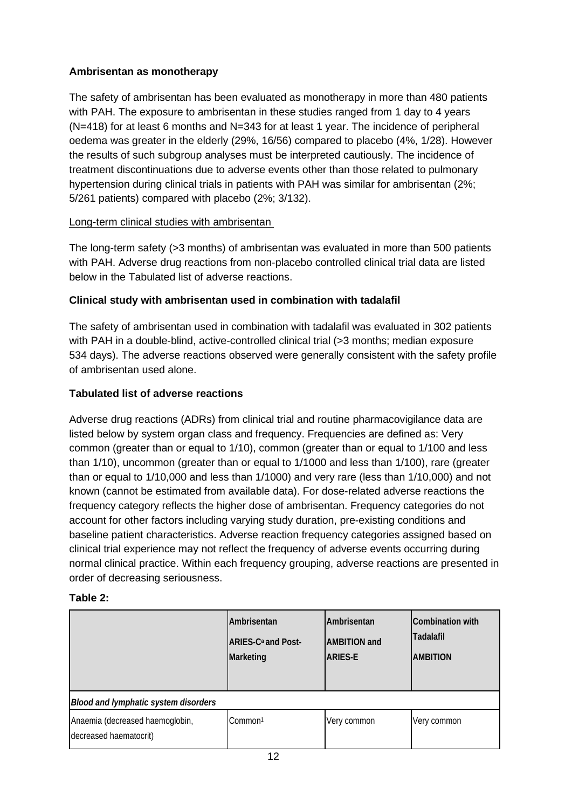## **Ambrisentan as monotherapy**

The safety of ambrisentan has been evaluated as monotherapy in more than 480 patients with PAH. The exposure to ambrisentan in these studies ranged from 1 day to 4 years (N=418) for at least 6 months and N=343 for at least 1 year. The incidence of peripheral oedema was greater in the elderly (29%, 16/56) compared to placebo (4%, 1/28). However the results of such subgroup analyses must be interpreted cautiously. The incidence of treatment discontinuations due to adverse events other than those related to pulmonary hypertension during clinical trials in patients with PAH was similar for ambrisentan (2%; 5/261 patients) compared with placebo (2%; 3/132).

### Long-term clinical studies with ambrisentan

The long-term safety (>3 months) of ambrisentan was evaluated in more than 500 patients with PAH. Adverse drug reactions from non-placebo controlled clinical trial data are listed below in the Tabulated list of adverse reactions.

## **Clinical study with ambrisentan used in combination with tadalafil**

The safety of ambrisentan used in combination with tadalafil was evaluated in 302 patients with PAH in a double-blind, active-controlled clinical trial (>3 months; median exposure 534 days). The adverse reactions observed were generally consistent with the safety profile of ambrisentan used alone.

## **Tabulated list of adverse reactions**

Adverse drug reactions (ADRs) from clinical trial and routine pharmacovigilance data are listed below by system organ class and frequency. Frequencies are defined as: Very common (greater than or equal to 1/10), common (greater than or equal to 1/100 and less than 1/10), uncommon (greater than or equal to 1/1000 and less than 1/100), rare (greater than or equal to 1/10,000 and less than 1/1000) and very rare (less than 1/10,000) and not known (cannot be estimated from available data). For dose-related adverse reactions the frequency category reflects the higher dose of ambrisentan. Frequency categories do not account for other factors including varying study duration, pre-existing conditions and baseline patient characteristics. Adverse reaction frequency categories assigned based on clinical trial experience may not reflect the frequency of adverse events occurring during normal clinical practice. Within each frequency grouping, adverse reactions are presented in order of decreasing seriousness.

### **Table 2:**

|                                                           | <b>Ambrisentan</b><br><b>ARIES-C<sup>a</sup> and Post-</b><br>Marketing | <b>Ambrisentan</b><br><b>AMBITION</b> and<br><b>ARIES-E</b> | Combination with<br>Tadalafil<br><b>AMBITION</b> |
|-----------------------------------------------------------|-------------------------------------------------------------------------|-------------------------------------------------------------|--------------------------------------------------|
| Blood and lymphatic system disorders                      |                                                                         |                                                             |                                                  |
| Anaemia (decreased haemoglobin,<br>decreased haematocrit) | Common <sup>1</sup>                                                     | Very common                                                 | Very common                                      |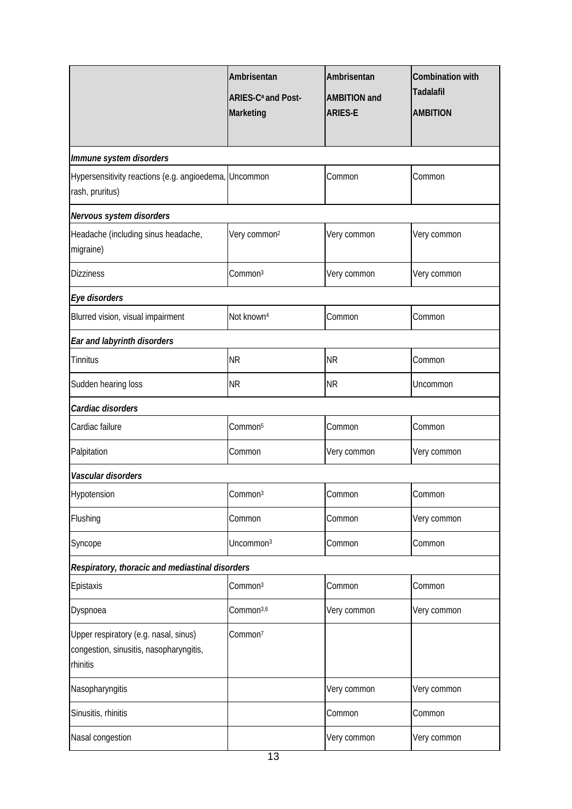|                                                                                              | Ambrisentan<br>ARIES-C <sup>a</sup> and Post-<br>Marketing | Ambrisentan<br><b>AMBITION and</b><br><b>ARIES-E</b> | <b>Combination with</b><br><b>Tadalafil</b><br><b>AMBITION</b> |
|----------------------------------------------------------------------------------------------|------------------------------------------------------------|------------------------------------------------------|----------------------------------------------------------------|
| Immune system disorders                                                                      |                                                            |                                                      |                                                                |
| Hypersensitivity reactions (e.g. angioedema, Uncommon<br>rash, pruritus)                     |                                                            | Common                                               | Common                                                         |
| Nervous system disorders                                                                     |                                                            |                                                      |                                                                |
| Headache (including sinus headache,<br>migraine)                                             | Very common <sup>2</sup>                                   | Very common                                          | Very common                                                    |
| <b>Dizziness</b>                                                                             | Common <sup>3</sup>                                        | Very common                                          | Very common                                                    |
| Eye disorders                                                                                |                                                            |                                                      |                                                                |
| Blurred vision, visual impairment                                                            | Not known <sup>4</sup>                                     | Common                                               | Common                                                         |
| Ear and labyrinth disorders                                                                  |                                                            |                                                      |                                                                |
| Tinnitus                                                                                     | <b>NR</b>                                                  | <b>NR</b>                                            | Common                                                         |
| Sudden hearing loss                                                                          | <b>NR</b>                                                  | <b>NR</b>                                            | Uncommon                                                       |
| Cardiac disorders                                                                            |                                                            |                                                      |                                                                |
| Cardiac failure                                                                              | Common <sup>5</sup>                                        | Common                                               | Common                                                         |
| Palpitation                                                                                  | Common                                                     | Very common                                          | Very common                                                    |
| Vascular disorders                                                                           |                                                            |                                                      |                                                                |
| Hypotension                                                                                  | Common <sup>3</sup>                                        | Common                                               | Common                                                         |
| Flushing                                                                                     | Common                                                     | Common                                               | Very common                                                    |
| Syncope                                                                                      | Uncommon <sup>3</sup>                                      | Common                                               | Common                                                         |
| Respiratory, thoracic and mediastinal disorders                                              |                                                            |                                                      |                                                                |
| Epistaxis                                                                                    | Common <sup>3</sup>                                        | Common                                               | Common                                                         |
| Dyspnoea                                                                                     | Common <sup>3,6</sup>                                      | Very common                                          | Very common                                                    |
| Upper respiratory (e.g. nasal, sinus)<br>congestion, sinusitis, nasopharyngitis,<br>rhinitis | Common <sup>7</sup>                                        |                                                      |                                                                |
| Nasopharyngitis                                                                              |                                                            | Very common                                          | Very common                                                    |
| Sinusitis, rhinitis                                                                          |                                                            | Common                                               | Common                                                         |
| Nasal congestion                                                                             |                                                            | Very common                                          | Very common                                                    |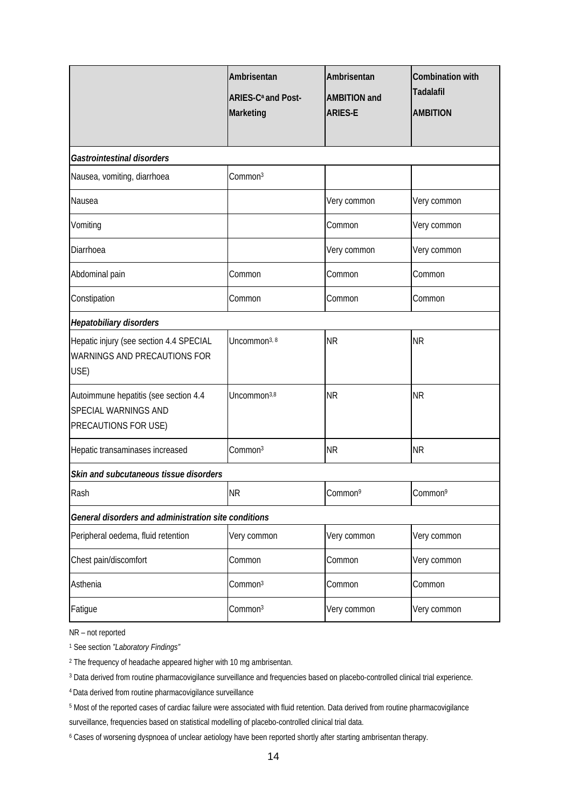|                                                                                              | Ambrisentan<br>ARIES-C <sup>a</sup> and Post-<br>Marketing | Ambrisentan<br><b>AMBITION and</b><br><b>ARIES-E</b> | Combination with<br><b>Tadalafil</b><br><b>AMBITION</b> |  |  |  |
|----------------------------------------------------------------------------------------------|------------------------------------------------------------|------------------------------------------------------|---------------------------------------------------------|--|--|--|
| Gastrointestinal disorders                                                                   |                                                            |                                                      |                                                         |  |  |  |
| Nausea, vomiting, diarrhoea                                                                  | Common <sup>3</sup>                                        |                                                      |                                                         |  |  |  |
| Nausea                                                                                       |                                                            | Very common                                          | Very common                                             |  |  |  |
| Vomiting                                                                                     |                                                            | Common                                               | Very common                                             |  |  |  |
| Diarrhoea                                                                                    |                                                            | Very common                                          | Very common                                             |  |  |  |
| Abdominal pain                                                                               | Common                                                     | Common                                               | Common                                                  |  |  |  |
| Constipation                                                                                 | Common                                                     | Common                                               | Common                                                  |  |  |  |
| Hepatobiliary disorders                                                                      |                                                            |                                                      |                                                         |  |  |  |
| Hepatic injury (see section 4.4 SPECIAL<br>WARNINGS AND PRECAUTIONS FOR<br>USE)              | Uncommon <sup>3, 8</sup>                                   | <b>NR</b>                                            | <b>NR</b>                                               |  |  |  |
| Autoimmune hepatitis (see section 4.4<br><b>SPECIAL WARNINGS AND</b><br>PRECAUTIONS FOR USE) | Uncommon <sup>3,8</sup>                                    | <b>NR</b>                                            | <b>NR</b>                                               |  |  |  |
| Hepatic transaminases increased                                                              | Common <sup>3</sup>                                        | <b>NR</b>                                            | <b>NR</b>                                               |  |  |  |
| Skin and subcutaneous tissue disorders                                                       |                                                            |                                                      |                                                         |  |  |  |
| Rash                                                                                         | <b>NR</b>                                                  | Common <sup>9</sup>                                  | Common <sup>9</sup>                                     |  |  |  |
| General disorders and administration site conditions                                         |                                                            |                                                      |                                                         |  |  |  |
| Peripheral oedema, fluid retention                                                           | Very common                                                | Very common                                          | Very common                                             |  |  |  |
| Chest pain/discomfort                                                                        | Common                                                     | Common                                               | Very common                                             |  |  |  |
| Asthenia                                                                                     | Common <sup>3</sup>                                        | Common                                               | Common                                                  |  |  |  |
| Fatigue                                                                                      | Common <sup>3</sup>                                        | Very common                                          | Very common                                             |  |  |  |

NR – not reported

<sup>1</sup> See section *"Laboratory Findings"* 

<sup>2</sup> The frequency of headache appeared higher with 10 mg ambrisentan.

<sup>3</sup> Data derived from routine pharmacovigilance surveillance and frequencies based on placebo-controlled clinical trial experience.

4 Data derived from routine pharmacovigilance surveillance

<sup>5</sup> Most of the reported cases of cardiac failure were associated with fluid retention. Data derived from routine pharmacovigilance

surveillance, frequencies based on statistical modelling of placebo-controlled clinical trial data.

<sup>6</sup> Cases of worsening dyspnoea of unclear aetiology have been reported shortly after starting ambrisentan therapy.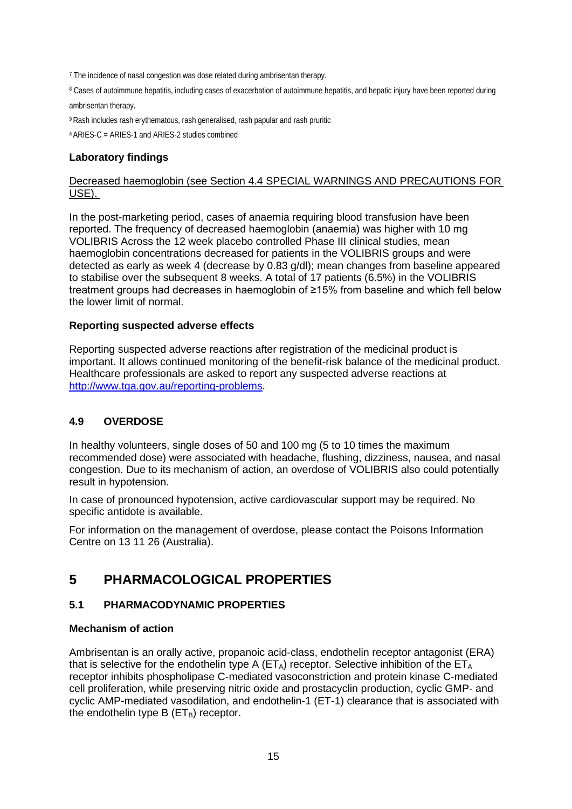<sup>7</sup> The incidence of nasal congestion was dose related during ambrisentan therapy.

<sup>8</sup> Cases of autoimmune hepatitis, including cases of exacerbation of autoimmune hepatitis, and hepatic injury have been reported during ambrisentan therapy.

9 Rash includes rash erythematous, rash generalised, rash papular and rash pruritic

a ARIES-C = ARIES-1 and ARIES-2 studies combined

#### **Laboratory findings**

#### Decreased haemoglobin (see Section 4.4 SPECIAL WARNINGS AND PRECAUTIONS FOR USE).

In the post-marketing period, cases of anaemia requiring blood transfusion have been reported. The frequency of decreased haemoglobin (anaemia) was higher with 10 mg VOLIBRIS Across the 12 week placebo controlled Phase III clinical studies, mean haemoglobin concentrations decreased for patients in the VOLIBRIS groups and were detected as early as week 4 (decrease by 0.83 g/dl); mean changes from baseline appeared to stabilise over the subsequent 8 weeks. A total of 17 patients (6.5%) in the VOLIBRIS treatment groups had decreases in haemoglobin of ≥15% from baseline and which fell below the lower limit of normal.

#### **Reporting suspected adverse effects**

Reporting suspected adverse reactions after registration of the medicinal product is important. It allows continued monitoring of the benefit-risk balance of the medicinal product. Healthcare professionals are asked to report any suspected adverse reactions at [http://www.tga.gov.au/reporting-problems.](http://www.tga.gov.au/reporting-problems)

#### **4.9 OVERDOSE**

In healthy volunteers, single doses of 50 and 100 mg (5 to 10 times the maximum recommended dose) were associated with headache, flushing, dizziness, nausea, and nasal congestion. Due to its mechanism of action, an overdose of VOLIBRIS also could potentially result in hypotension.

In case of pronounced hypotension, active cardiovascular support may be required. No specific antidote is available.

For information on the management of overdose, please contact the Poisons Information Centre on 13 11 26 (Australia).

## **5 PHARMACOLOGICAL PROPERTIES**

#### **5.1 PHARMACODYNAMIC PROPERTIES**

#### **Mechanism of action**

Ambrisentan is an orally active, propanoic acid-class, endothelin receptor antagonist (ERA) that is selective for the endothelin type A ( $ET_A$ ) receptor. Selective inhibition of the  $ET_A$ receptor inhibits phospholipase C-mediated vasoconstriction and protein kinase C-mediated cell proliferation, while preserving nitric oxide and prostacyclin production, cyclic GMP- and cyclic AMP-mediated vasodilation, and endothelin-1 (ET-1) clearance that is associated with the endothelin type  $B$  ( $ET_B$ ) receptor.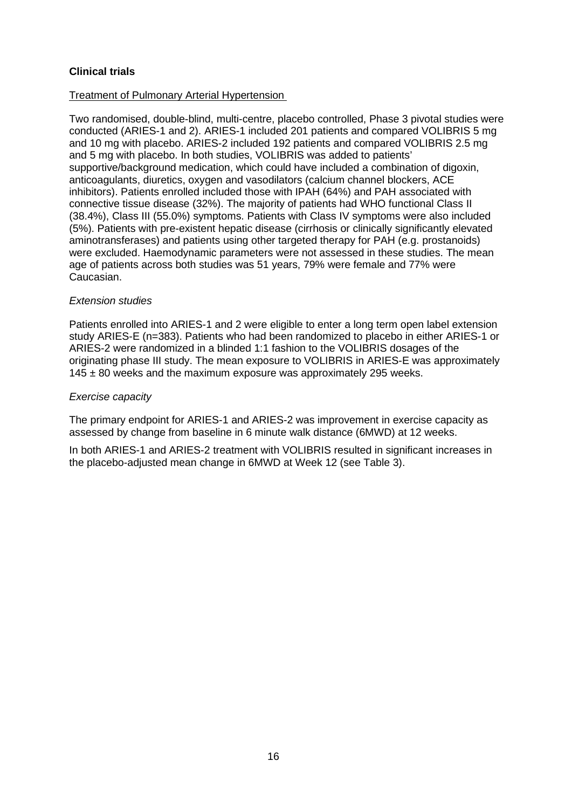## **Clinical trials**

#### Treatment of Pulmonary Arterial Hypertension

Two randomised, double-blind, multi-centre, placebo controlled, Phase 3 pivotal studies were conducted (ARIES-1 and 2). ARIES-1 included 201 patients and compared VOLIBRIS 5 mg and 10 mg with placebo. ARIES-2 included 192 patients and compared VOLIBRIS 2.5 mg and 5 mg with placebo. In both studies, VOLIBRIS was added to patients' supportive/background medication, which could have included a combination of digoxin, anticoagulants, diuretics, oxygen and vasodilators (calcium channel blockers, ACE inhibitors). Patients enrolled included those with IPAH (64%) and PAH associated with connective tissue disease (32%). The majority of patients had WHO functional Class II (38.4%), Class III (55.0%) symptoms. Patients with Class IV symptoms were also included (5%). Patients with pre-existent hepatic disease (cirrhosis or clinically significantly elevated aminotransferases) and patients using other targeted therapy for PAH (e.g. prostanoids) were excluded. Haemodynamic parameters were not assessed in these studies. The mean age of patients across both studies was 51 years, 79% were female and 77% were Caucasian.

#### *Extension studies*

Patients enrolled into ARIES-1 and 2 were eligible to enter a long term open label extension study ARIES-E (n=383). Patients who had been randomized to placebo in either ARIES-1 or ARIES-2 were randomized in a blinded 1:1 fashion to the VOLIBRIS dosages of the originating phase III study. The mean exposure to VOLIBRIS in ARIES-E was approximately  $145 \pm 80$  weeks and the maximum exposure was approximately 295 weeks.

#### *Exercise capacity*

The primary endpoint for ARIES-1 and ARIES-2 was improvement in exercise capacity as assessed by change from baseline in 6 minute walk distance (6MWD) at 12 weeks.

In both ARIES-1 and ARIES-2 treatment with VOLIBRIS resulted in significant increases in the placebo-adjusted mean change in 6MWD at Week 12 (see Table 3).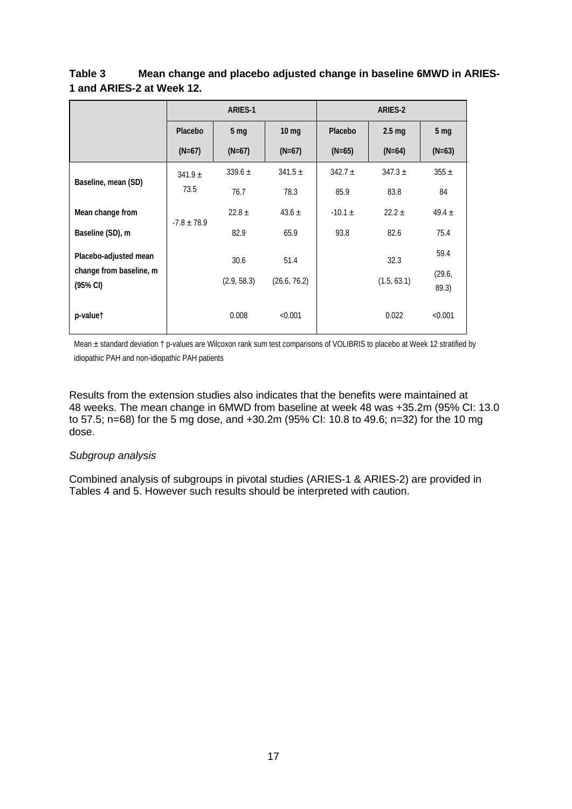## **Table 3 Mean change and placebo adjusted change in baseline 6MWD in ARIES-1 and ARIES-2 at Week 12.**

|                                     | <b>ARIES-1</b>  |                 | ARIES-2      |             |                  |                 |
|-------------------------------------|-----------------|-----------------|--------------|-------------|------------------|-----------------|
|                                     | Placebo         | 5 <sub>mg</sub> | $10 \, mg$   | Placebo     | $2.5 \text{ mg}$ | 5 <sub>mg</sub> |
|                                     | $(N=67)$        | $(N=67)$        | $(N=67)$     | $(N=65)$    | $(N=64)$         | $(N=63)$        |
| Baseline, mean (SD)                 | $341.9 \pm$     | $339.6 \pm$     | $341.5 \pm$  | $342.7 \pm$ | $347.3 \pm$      | $355 \pm$       |
|                                     | 73.5            | 76.7            | 78.3         | 85.9        | 83.8             | 84              |
| Mean change from                    |                 | $22.8 \pm$      | 43.6 $\pm$   | $-10.1 \pm$ | $22.2 \pm$       | 49.4 $\pm$      |
| Baseline (SD), m                    | $-7.8 \pm 78.9$ | 82.9            | 65.9         | 93.8        | 82.6             | 75.4            |
| Placebo-adjusted mean               |                 | 30.6            | 51.4         |             | 32.3             | 59.4            |
| change from baseline, m<br>(95% CI) |                 | (2.9, 58.3)     | (26.6, 76.2) |             | (1.5, 63.1)      | (29.6,<br>89.3) |
| p-valuet                            |                 | 0.008           | < 0.001      |             | 0.022            | < 0.001         |

Mean ± standard deviation † p-values are Wilcoxon rank sum test comparisons of VOLIBRIS to placebo at Week 12 stratified by idiopathic PAH and non-idiopathic PAH patients

Results from the extension studies also indicates that the benefits were maintained at 48 weeks. The mean change in 6MWD from baseline at week 48 was +35.2m (95% CI: 13.0 to 57.5; n=68) for the 5 mg dose, and +30.2m (95% CI: 10.8 to 49.6; n=32) for the 10 mg dose.

#### *Subgroup analysis*

Combined analysis of subgroups in pivotal studies (ARIES-1 & ARIES-2) are provided in Tables 4 and 5. However such results should be interpreted with caution.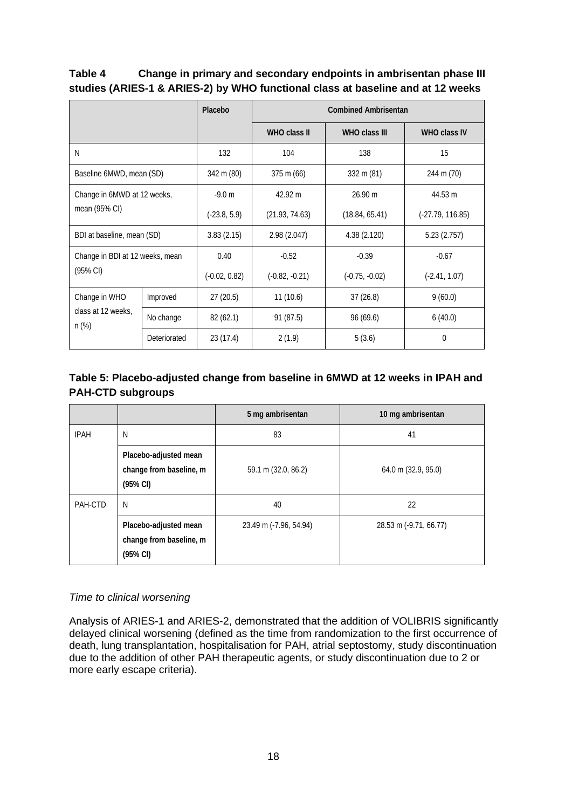| Table 4 | Change in primary and secondary endpoints in ambrisentan phase III              |
|---------|---------------------------------------------------------------------------------|
|         | studies (ARIES-1 & ARIES-2) by WHO functional class at baseline and at 12 weeks |

|                                              |                                 | Placebo         | <b>Combined Ambrisentan</b> |                  |                     |  |  |
|----------------------------------------------|---------------------------------|-----------------|-----------------------------|------------------|---------------------|--|--|
|                                              |                                 |                 | WHO class II                | WHO class III    | <b>WHO class IV</b> |  |  |
| N                                            |                                 | 132             | 104                         | 138              | 15                  |  |  |
| Baseline 6MWD, mean (SD)                     |                                 | 342 m (80)      | $375 \text{ m} (66)$        | 332 m (81)       | 244 m (70)          |  |  |
| Change in 6MWD at 12 weeks,<br>mean (95% CI) |                                 | $-9.0 m$        | 42.92 m                     | 26.90 m          | 44.53 m             |  |  |
|                                              |                                 | $(-23.8, 5.9)$  | (21.93, 74.63)              | (18.84, 65.41)   | $(-27.79, 116.85)$  |  |  |
| BDI at baseline, mean (SD)                   |                                 | 3.83(2.15)      | 2.98(2.047)                 | 4.38(2.120)      | 5.23(2.757)         |  |  |
|                                              | Change in BDI at 12 weeks, mean |                 | $-0.52$                     | $-0.39$          | $-0.67$             |  |  |
| $(95% \text{ Cl})$                           |                                 | $(-0.02, 0.82)$ | $(-0.82, -0.21)$            | $(-0.75, -0.02)$ | $(-2.41, 1.07)$     |  |  |
| Change in WHO                                | Improved                        | 27(20.5)        | 11(10.6)                    | 37(26.8)         | 9(60.0)             |  |  |
| class at 12 weeks,<br>$n$ (%)                | No change                       | 82(62.1)        | 91 (87.5)                   | 96(69.6)         | 6(40.0)             |  |  |
|                                              | Deteriorated                    | 23(17.4)        | 2(1.9)                      | 5(3.6)           | $\Omega$            |  |  |

## **Table 5: Placebo-adjusted change from baseline in 6MWD at 12 weeks in IPAH and PAH-CTD subgroups**

|             |                                                                         | 5 mg ambrisentan       | 10 mg ambrisentan      |
|-------------|-------------------------------------------------------------------------|------------------------|------------------------|
| <b>IPAH</b> | N                                                                       | 83                     | 41                     |
|             | Placebo-adjusted mean<br>change from baseline, m<br>$(95\% \text{ Cl})$ | 59.1 m (32.0, 86.2)    | 64.0 m (32.9, 95.0)    |
| PAH-CTD     | N                                                                       | 40                     | 22                     |
|             | Placebo-adjusted mean<br>change from baseline, m<br>(95% CI)            | 23.49 m (-7.96, 54.94) | 28.53 m (-9.71, 66.77) |

### *Time to clinical worsening*

Analysis of ARIES-1 and ARIES-2, demonstrated that the addition of VOLIBRIS significantly delayed clinical worsening (defined as the time from randomization to the first occurrence of death, lung transplantation, hospitalisation for PAH, atrial septostomy, study discontinuation due to the addition of other PAH therapeutic agents, or study discontinuation due to 2 or more early escape criteria).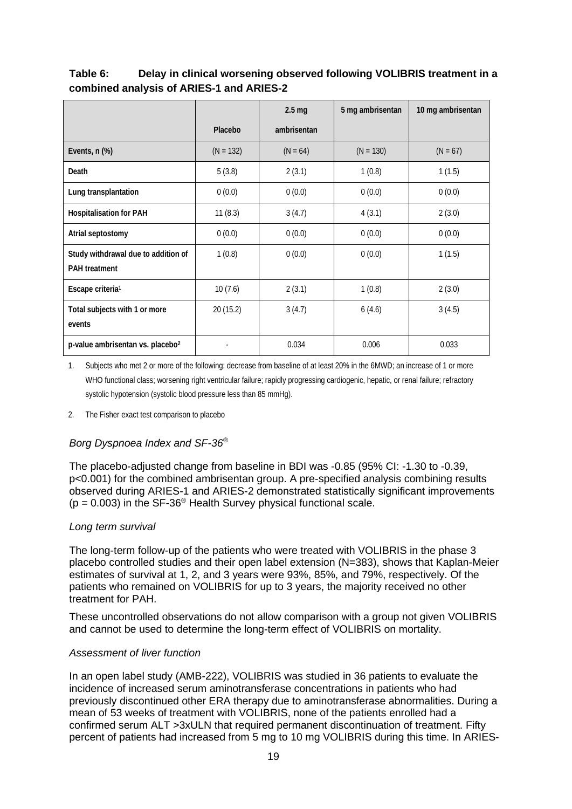|                                                             |             | 2.5 <sub>mg</sub> | 5 mg ambrisentan | 10 mg ambrisentan |
|-------------------------------------------------------------|-------------|-------------------|------------------|-------------------|
|                                                             | Placebo     | ambrisentan       |                  |                   |
| Events, n (%)                                               | $(N = 132)$ | $(N = 64)$        | $(N = 130)$      | $(N = 67)$        |
| Death                                                       | 5(3.8)      | 2(3.1)            | 1(0.8)           | 1(1.5)            |
| Lung transplantation                                        | 0(0.0)      | 0(0.0)            | 0(0.0)           | 0(0.0)            |
| <b>Hospitalisation for PAH</b>                              | 11(8.3)     | 3(4.7)            | 4(3.1)           | 2(3.0)            |
| Atrial septostomy                                           | 0(0.0)      | 0(0.0)            | 0(0.0)           | 0(0.0)            |
| Study withdrawal due to addition of<br><b>PAH</b> treatment | 1(0.8)      | 0(0.0)            | 0(0.0)           | 1(1.5)            |
| Escape criteria <sup>1</sup>                                | 10(7.6)     | 2(3.1)            | 1(0.8)           | 2(3.0)            |
| Total subjects with 1 or more<br>events                     | 20(15.2)    | 3(4.7)            | 6(4.6)           | 3(4.5)            |
| p-value ambrisentan vs. placebo <sup>2</sup>                |             | 0.034             | 0.006            | 0.033             |

## **Table 6: Delay in clinical worsening observed following VOLIBRIS treatment in a combined analysis of ARIES-1 and ARIES-2**

1. Subjects who met 2 or more of the following: decrease from baseline of at least 20% in the 6MWD; an increase of 1 or more WHO functional class; worsening right ventricular failure; rapidly progressing cardiogenic, hepatic, or renal failure; refractory systolic hypotension (systolic blood pressure less than 85 mmHg).

2. The Fisher exact test comparison to placebo

### *Borg Dyspnoea Index and SF-36®*

The placebo-adjusted change from baseline in BDI was -0.85 (95% CI: -1.30 to -0.39, p<0.001) for the combined ambrisentan group. A pre-specified analysis combining results observed during ARIES-1 and ARIES-2 demonstrated statistically significant improvements  $(p = 0.003)$  in the SF-36<sup>®</sup> Health Survey physical functional scale.

#### *Long term survival*

The long-term follow-up of the patients who were treated with VOLIBRIS in the phase 3 placebo controlled studies and their open label extension (N=383), shows that Kaplan-Meier estimates of survival at 1, 2, and 3 years were 93%, 85%, and 79%, respectively. Of the patients who remained on VOLIBRIS for up to 3 years, the majority received no other treatment for PAH.

These uncontrolled observations do not allow comparison with a group not given VOLIBRIS and cannot be used to determine the long-term effect of VOLIBRIS on mortality.

#### *Assessment of liver function*

In an open label study (AMB-222), VOLIBRIS was studied in 36 patients to evaluate the incidence of increased serum aminotransferase concentrations in patients who had previously discontinued other ERA therapy due to aminotransferase abnormalities. During a mean of 53 weeks of treatment with VOLIBRIS, none of the patients enrolled had a confirmed serum ALT >3xULN that required permanent discontinuation of treatment. Fifty percent of patients had increased from 5 mg to 10 mg VOLIBRIS during this time. In ARIES-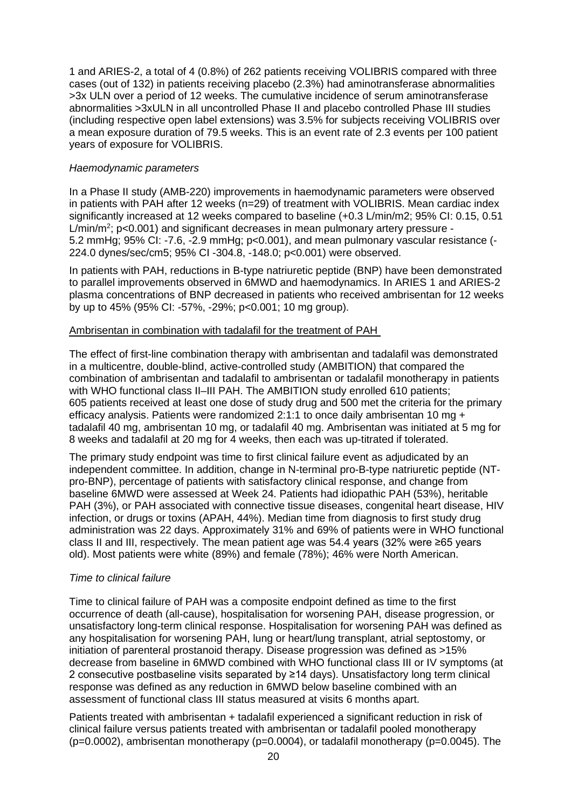1 and ARIES-2, a total of 4 (0.8%) of 262 patients receiving VOLIBRIS compared with three cases (out of 132) in patients receiving placebo (2.3%) had aminotransferase abnormalities >3x ULN over a period of 12 weeks. The cumulative incidence of serum aminotransferase abnormalities >3xULN in all uncontrolled Phase II and placebo controlled Phase III studies (including respective open label extensions) was 3.5% for subjects receiving VOLIBRIS over a mean exposure duration of 79.5 weeks. This is an event rate of 2.3 events per 100 patient years of exposure for VOLIBRIS.

#### *Haemodynamic parameters*

In a Phase II study (AMB-220) improvements in haemodynamic parameters were observed in patients with PAH after 12 weeks (n=29) of treatment with VOLIBRIS. Mean cardiac index significantly increased at 12 weeks compared to baseline (+0.3 L/min/m2; 95% CI: 0.15, 0.51 L/min/m<sup>2</sup>; p<0.001) and significant decreases in mean pulmonary artery pressure -5.2 mmHg; 95% CI: -7.6, -2.9 mmHg; p<0.001), and mean pulmonary vascular resistance (- 224.0 dynes/sec/cm5; 95% CI -304.8, -148.0; p<0.001) were observed.

In patients with PAH, reductions in B-type natriuretic peptide (BNP) have been demonstrated to parallel improvements observed in 6MWD and haemodynamics. In ARIES 1 and ARIES-2 plasma concentrations of BNP decreased in patients who received ambrisentan for 12 weeks by up to 45% (95% CI: -57%, -29%; p<0.001; 10 mg group).

#### Ambrisentan in combination with tadalafil for the treatment of PAH

The effect of first-line combination therapy with ambrisentan and tadalafil was demonstrated in a multicentre, double-blind, active-controlled study (AMBITION) that compared the combination of ambrisentan and tadalafil to ambrisentan or tadalafil monotherapy in patients with WHO functional class II–III PAH. The AMBITION study enrolled 610 patients; 605 patients received at least one dose of study drug and 500 met the criteria for the primary efficacy analysis. Patients were randomized 2:1:1 to once daily ambrisentan 10 mg + tadalafil 40 mg, ambrisentan 10 mg, or tadalafil 40 mg. Ambrisentan was initiated at 5 mg for 8 weeks and tadalafil at 20 mg for 4 weeks, then each was up-titrated if tolerated.

The primary study endpoint was time to first clinical failure event as adjudicated by an independent committee. In addition, change in N-terminal pro-B-type natriuretic peptide (NTpro-BNP), percentage of patients with satisfactory clinical response, and change from baseline 6MWD were assessed at Week 24. Patients had idiopathic PAH (53%), heritable PAH (3%), or PAH associated with connective tissue diseases, congenital heart disease, HIV infection, or drugs or toxins (APAH, 44%). Median time from diagnosis to first study drug administration was 22 days. Approximately 31% and 69% of patients were in WHO functional class II and III, respectively. The mean patient age was 54.4 years (32% were ≥65 years old). Most patients were white (89%) and female (78%); 46% were North American.

#### *Time to clinical failure*

Time to clinical failure of PAH was a composite endpoint defined as time to the first occurrence of death (all-cause), hospitalisation for worsening PAH, disease progression, or unsatisfactory long-term clinical response. Hospitalisation for worsening PAH was defined as any hospitalisation for worsening PAH, lung or heart/lung transplant, atrial septostomy, or initiation of parenteral prostanoid therapy. Disease progression was defined as >15% decrease from baseline in 6MWD combined with WHO functional class III or IV symptoms (at 2 consecutive postbaseline visits separated by ≥14 days). Unsatisfactory long term clinical response was defined as any reduction in 6MWD below baseline combined with an assessment of functional class III status measured at visits 6 months apart.

Patients treated with ambrisentan + tadalafil experienced a significant reduction in risk of clinical failure versus patients treated with ambrisentan or tadalafil pooled monotherapy  $(p=0.0002)$ , ambrisentan monotherapy  $(p=0.0004)$ , or tadalafil monotherapy  $(p=0.0045)$ . The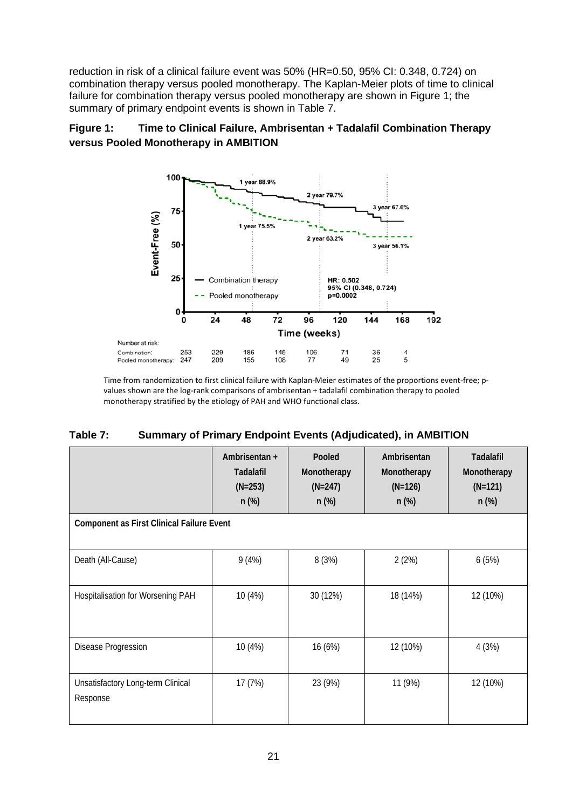reduction in risk of a clinical failure event was 50% (HR=0.50, 95% CI: 0.348, 0.724) on combination therapy versus pooled monotherapy. The Kaplan-Meier plots of time to clinical failure for combination therapy versus pooled monotherapy are shown in Figure 1; the summary of primary endpoint events is shown in Table 7.

## **Figure 1: Time to Clinical Failure, Ambrisentan + Tadalafil Combination Therapy versus Pooled Monotherapy in AMBITION**



Time from randomization to first clinical failure with Kaplan-Meier estimates of the proportions event-free; pvalues shown are the log-rank comparisons of ambrisentan + tadalafil combination therapy to pooled monotherapy stratified by the etiology of PAH and WHO functional class.

| Table 7: | <b>Summary of Primary Endpoint Events (Adjudicated), in AMBITION</b> |
|----------|----------------------------------------------------------------------|
|----------|----------------------------------------------------------------------|

|                                                  | Ambrisentan +<br><b>Tadalafil</b><br>$(N=253)$<br>$n$ (%) | Pooled<br>Monotherapy<br>$(N=247)$<br>$n$ (%) | Ambrisentan<br>Monotherapy<br>$(N=126)$<br>$n$ (%) | <b>Tadalafil</b><br>Monotherapy<br>$(N=121)$<br>$n$ (%) |  |  |
|--------------------------------------------------|-----------------------------------------------------------|-----------------------------------------------|----------------------------------------------------|---------------------------------------------------------|--|--|
| <b>Component as First Clinical Failure Event</b> |                                                           |                                               |                                                    |                                                         |  |  |
| Death (All-Cause)                                | 9(4%)                                                     | 8 (3%)                                        | 2(2%)                                              | 6(5%)                                                   |  |  |
| Hospitalisation for Worsening PAH                | 10 (4%)                                                   | 30 (12%)                                      | 18 (14%)                                           | 12 (10%)                                                |  |  |
| Disease Progression                              | 10 (4%)                                                   | 16 (6%)                                       | 12 (10%)                                           | 4(3%)                                                   |  |  |
| Unsatisfactory Long-term Clinical<br>Response    | 17(7%)                                                    | 23 (9%)                                       | 11 (9%)                                            | 12 (10%)                                                |  |  |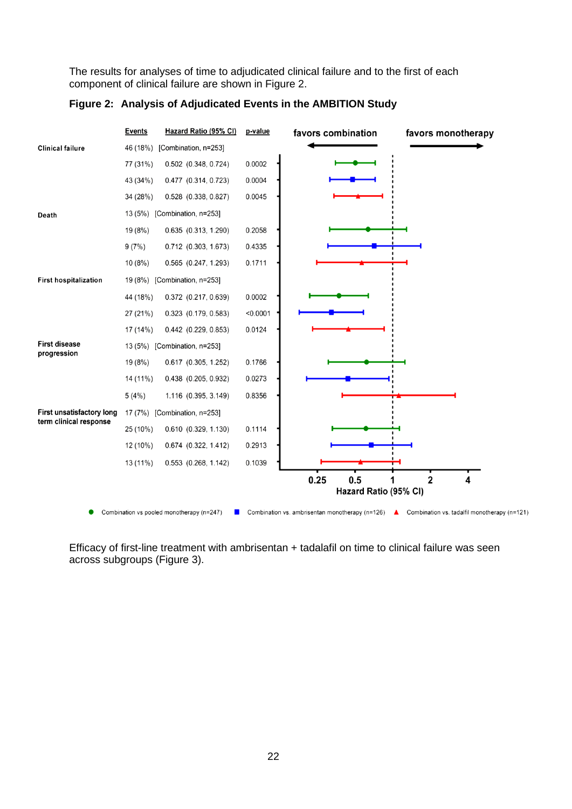The results for analyses of time to adjudicated clinical failure and to the first of each component of clinical failure are shown in Figure 2.



#### **Figure 2: Analysis of Adjudicated Events in the AMBITION Study**

Efficacy of first-line treatment with ambrisentan + tadalafil on time to clinical failure was seen across subgroups (Figure 3).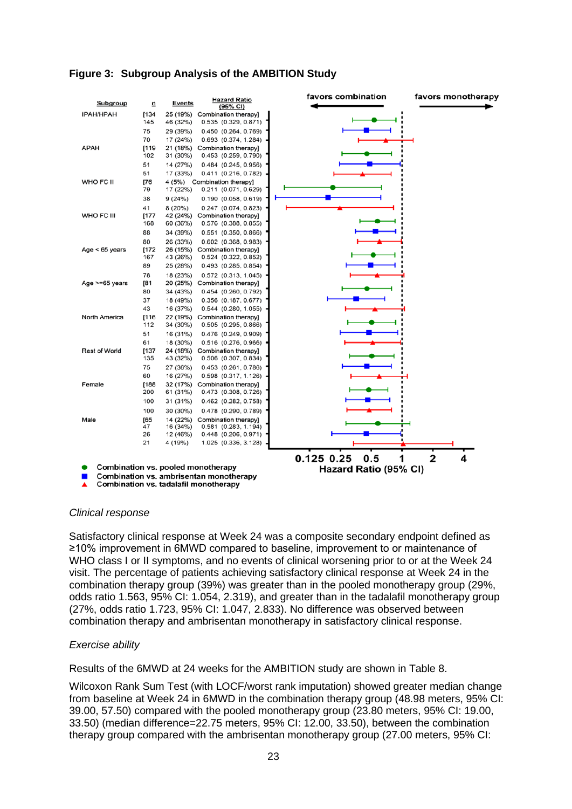

### **Figure 3: Subgroup Analysis of the AMBITION Study**

#### *Clinical response*

Satisfactory clinical response at Week 24 was a composite secondary endpoint defined as ≥10% improvement in 6MWD compared to baseline, improvement to or maintenance of WHO class I or II symptoms, and no events of clinical worsening prior to or at the Week 24 visit. The percentage of patients achieving satisfactory clinical response at Week 24 in the combination therapy group (39%) was greater than in the pooled monotherapy group (29%, odds ratio 1.563, 95% CI: 1.054, 2.319), and greater than in the tadalafil monotherapy group (27%, odds ratio 1.723, 95% CI: 1.047, 2.833). No difference was observed between combination therapy and ambrisentan monotherapy in satisfactory clinical response.

#### *Exercise ability*

Results of the 6MWD at 24 weeks for the AMBITION study are shown in Table 8.

Wilcoxon Rank Sum Test (with LOCF/worst rank imputation) showed greater median change from baseline at Week 24 in 6MWD in the combination therapy group (48.98 meters, 95% CI: 39.00, 57.50) compared with the pooled monotherapy group (23.80 meters, 95% CI: 19.00, 33.50) (median difference=22.75 meters, 95% CI: 12.00, 33.50), between the combination therapy group compared with the ambrisentan monotherapy group (27.00 meters, 95% CI: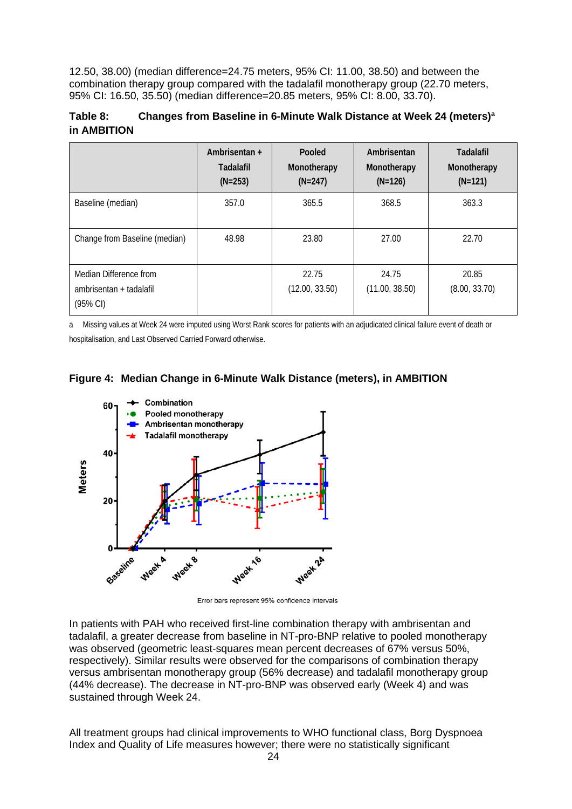12.50, 38.00) (median difference=24.75 meters, 95% CI: 11.00, 38.50) and between the combination therapy group compared with the tadalafil monotherapy group (22.70 meters, 95% CI: 16.50, 35.50) (median difference=20.85 meters, 95% CI: 8.00, 33.70).

### **Table 8: Changes from Baseline in 6-Minute Walk Distance at Week 24 (meters)a in AMBITION**

|                                                                         | Ambrisentan +<br><b>Tadalafil</b><br>$(N=253)$ | Pooled<br>Monotherapy<br>$(N=247)$ | Ambrisentan<br>Monotherapy<br>$(N=126)$ | Tadalafil<br>Monotherapy<br>$(N=121)$ |
|-------------------------------------------------------------------------|------------------------------------------------|------------------------------------|-----------------------------------------|---------------------------------------|
| Baseline (median)                                                       | 357.0                                          | 365.5                              | 368.5                                   | 363.3                                 |
| Change from Baseline (median)                                           | 48.98                                          | 23.80                              | 27.00                                   | 22.70                                 |
| Median Difference from<br>ambrisentan + tadalafil<br>$(95% \text{ Cl})$ |                                                | 22.75<br>(12.00, 33.50)            | 24.75<br>(11.00, 38.50)                 | 20.85<br>(8.00, 33.70)                |

a Missing values at Week 24 were imputed using Worst Rank scores for patients with an adjudicated clinical failure event of death or hospitalisation, and Last Observed Carried Forward otherwise.





Error bars represent 95% confidence intervals

In patients with PAH who received first-line combination therapy with ambrisentan and tadalafil, a greater decrease from baseline in NT-pro-BNP relative to pooled monotherapy was observed (geometric least-squares mean percent decreases of 67% versus 50%, respectively). Similar results were observed for the comparisons of combination therapy versus ambrisentan monotherapy group (56% decrease) and tadalafil monotherapy group (44% decrease). The decrease in NT-pro-BNP was observed early (Week 4) and was sustained through Week 24.

All treatment groups had clinical improvements to WHO functional class, Borg Dyspnoea Index and Quality of Life measures however; there were no statistically significant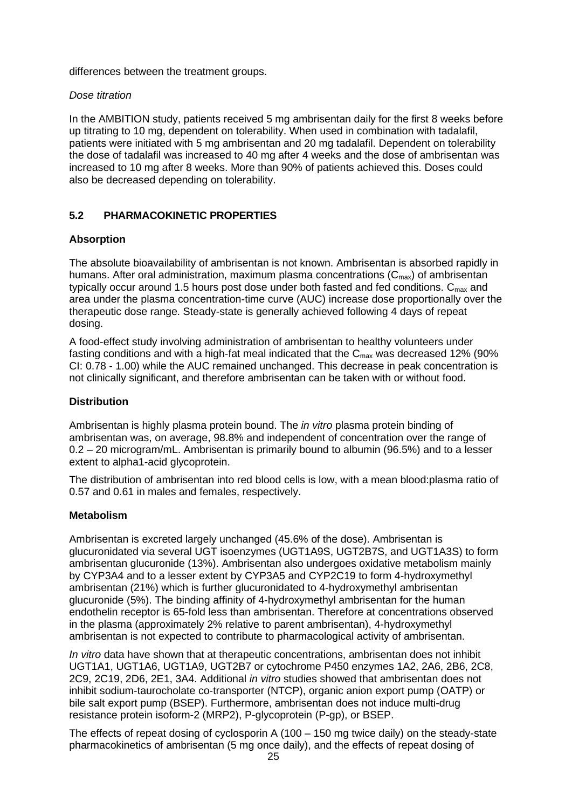differences between the treatment groups.

#### *Dose titration*

In the AMBITION study, patients received 5 mg ambrisentan daily for the first 8 weeks before up titrating to 10 mg, dependent on tolerability. When used in combination with tadalafil, patients were initiated with 5 mg ambrisentan and 20 mg tadalafil. Dependent on tolerability the dose of tadalafil was increased to 40 mg after 4 weeks and the dose of ambrisentan was increased to 10 mg after 8 weeks. More than 90% of patients achieved this. Doses could also be decreased depending on tolerability.

### **5.2 PHARMACOKINETIC PROPERTIES**

### **Absorption**

The absolute bioavailability of ambrisentan is not known. Ambrisentan is absorbed rapidly in humans. After oral administration, maximum plasma concentrations  $(C_{\text{max}})$  of ambrisentan typically occur around 1.5 hours post dose under both fasted and fed conditions.  $C_{\text{max}}$  and area under the plasma concentration-time curve (AUC) increase dose proportionally over the therapeutic dose range. Steady-state is generally achieved following 4 days of repeat dosing.

A food-effect study involving administration of ambrisentan to healthy volunteers under fasting conditions and with a high-fat meal indicated that the  $C_{\text{max}}$  was decreased 12% (90%) CI: 0.78 - 1.00) while the AUC remained unchanged. This decrease in peak concentration is not clinically significant, and therefore ambrisentan can be taken with or without food.

### **Distribution**

Ambrisentan is highly plasma protein bound. The *in vitro* plasma protein binding of ambrisentan was, on average, 98.8% and independent of concentration over the range of 0.2 – 20 microgram/mL. Ambrisentan is primarily bound to albumin (96.5%) and to a lesser extent to alpha1-acid glycoprotein.

The distribution of ambrisentan into red blood cells is low, with a mean blood:plasma ratio of 0.57 and 0.61 in males and females, respectively.

#### **Metabolism**

Ambrisentan is excreted largely unchanged (45.6% of the dose). Ambrisentan is glucuronidated via several UGT isoenzymes (UGT1A9S, UGT2B7S, and UGT1A3S) to form ambrisentan glucuronide (13%). Ambrisentan also undergoes oxidative metabolism mainly by CYP3A4 and to a lesser extent by CYP3A5 and CYP2C19 to form 4-hydroxymethyl ambrisentan (21%) which is further glucuronidated to 4-hydroxymethyl ambrisentan glucuronide (5%). The binding affinity of 4-hydroxymethyl ambrisentan for the human endothelin receptor is 65-fold less than ambrisentan. Therefore at concentrations observed in the plasma (approximately 2% relative to parent ambrisentan), 4-hydroxymethyl ambrisentan is not expected to contribute to pharmacological activity of ambrisentan.

*In vitro* data have shown that at therapeutic concentrations, ambrisentan does not inhibit UGT1A1, UGT1A6, UGT1A9, UGT2B7 or cytochrome P450 enzymes 1A2, 2A6, 2B6, 2C8, 2C9, 2C19, 2D6, 2E1, 3A4. Additional *in vitro* studies showed that ambrisentan does not inhibit sodium-taurocholate co-transporter (NTCP), organic anion export pump (OATP) or bile salt export pump (BSEP). Furthermore, ambrisentan does not induce multi-drug resistance protein isoform-2 (MRP2), P-glycoprotein (P-gp), or BSEP.

The effects of repeat dosing of cyclosporin A (100 – 150 mg twice daily) on the steady-state pharmacokinetics of ambrisentan (5 mg once daily), and the effects of repeat dosing of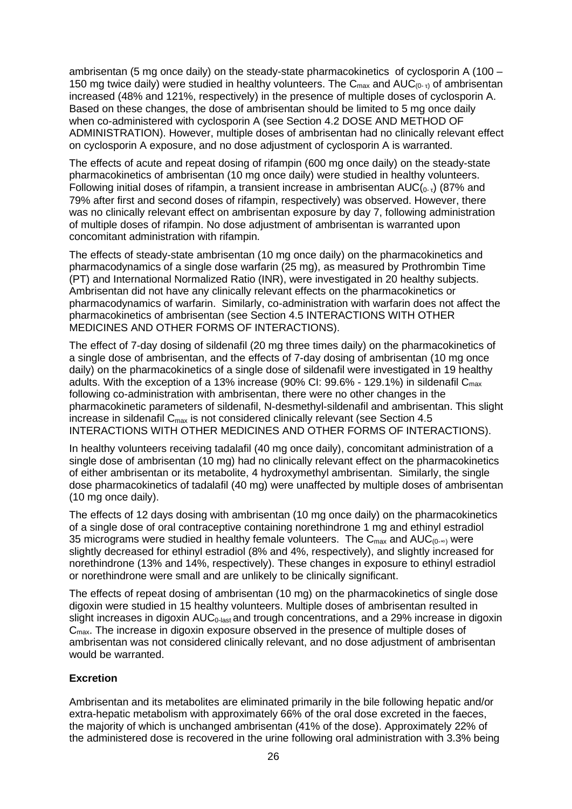ambrisentan (5 mg once daily) on the steady-state pharmacokinetics of cyclosporin A (100 – 150 mg twice daily) were studied in healthy volunteers. The  $C_{\text{max}}$  and  $AUC_{(0-r)}$  of ambrisentan increased (48% and 121%, respectively) in the presence of multiple doses of cyclosporin A. Based on these changes, the dose of ambrisentan should be limited to 5 mg once daily when co-administered with cyclosporin A (see Section 4.2 DOSE AND METHOD OF ADMINISTRATION). However, multiple doses of ambrisentan had no clinically relevant effect on cyclosporin A exposure, and no dose adjustment of cyclosporin A is warranted.

The effects of acute and repeat dosing of rifampin (600 mg once daily) on the steady-state pharmacokinetics of ambrisentan (10 mg once daily) were studied in healthy volunteers. Following initial doses of rifampin, a transient increase in ambrisentan  $AUC(0, t)$  (87% and 79% after first and second doses of rifampin, respectively) was observed. However, there was no clinically relevant effect on ambrisentan exposure by day 7, following administration of multiple doses of rifampin. No dose adjustment of ambrisentan is warranted upon concomitant administration with rifampin.

The effects of steady-state ambrisentan (10 mg once daily) on the pharmacokinetics and pharmacodynamics of a single dose warfarin (25 mg), as measured by Prothrombin Time (PT) and International Normalized Ratio (INR), were investigated in 20 healthy subjects. Ambrisentan did not have any clinically relevant effects on the pharmacokinetics or pharmacodynamics of warfarin. Similarly, co-administration with warfarin does not affect the pharmacokinetics of ambrisentan (see Section 4.5 INTERACTIONS WITH OTHER MEDICINES AND OTHER FORMS OF INTERACTIONS).

The effect of 7-day dosing of sildenafil (20 mg three times daily) on the pharmacokinetics of a single dose of ambrisentan, and the effects of 7-day dosing of ambrisentan (10 mg once daily) on the pharmacokinetics of a single dose of sildenafil were investigated in 19 healthy adults. With the exception of a 13% increase (90% CI: 99.6% - 129.1%) in sildenafil C<sub>max</sub> following co-administration with ambrisentan, there were no other changes in the pharmacokinetic parameters of sildenafil, N-desmethyl-sildenafil and ambrisentan. This slight increase in sildenafil  $C_{\text{max}}$  is not considered clinically relevant (see Section 4.5) INTERACTIONS WITH OTHER MEDICINES AND OTHER FORMS OF INTERACTIONS).

In healthy volunteers receiving tadalafil (40 mg once daily), concomitant administration of a single dose of ambrisentan (10 mg) had no clinically relevant effect on the pharmacokinetics of either ambrisentan or its metabolite, 4 hydroxymethyl ambrisentan. Similarly, the single dose pharmacokinetics of tadalafil (40 mg) were unaffected by multiple doses of ambrisentan (10 mg once daily).

The effects of 12 days dosing with ambrisentan (10 mg once daily) on the pharmacokinetics of a single dose of oral contraceptive containing norethindrone 1 mg and ethinyl estradiol 35 micrograms were studied in healthy female volunteers. The C<sub>max</sub> and AUC<sub>(0-∞)</sub> were slightly decreased for ethinyl estradiol (8% and 4%, respectively), and slightly increased for norethindrone (13% and 14%, respectively). These changes in exposure to ethinyl estradiol or norethindrone were small and are unlikely to be clinically significant.

The effects of repeat dosing of ambrisentan (10 mg) on the pharmacokinetics of single dose digoxin were studied in 15 healthy volunteers. Multiple doses of ambrisentan resulted in slight increases in digoxin  $AUC_{0-last}$  and trough concentrations, and a 29% increase in digoxin C<sub>max</sub>. The increase in digoxin exposure observed in the presence of multiple doses of ambrisentan was not considered clinically relevant, and no dose adjustment of ambrisentan would be warranted.

### **Excretion**

Ambrisentan and its metabolites are eliminated primarily in the bile following hepatic and/or extra-hepatic metabolism with approximately 66% of the oral dose excreted in the faeces, the majority of which is unchanged ambrisentan (41% of the dose). Approximately 22% of the administered dose is recovered in the urine following oral administration with 3.3% being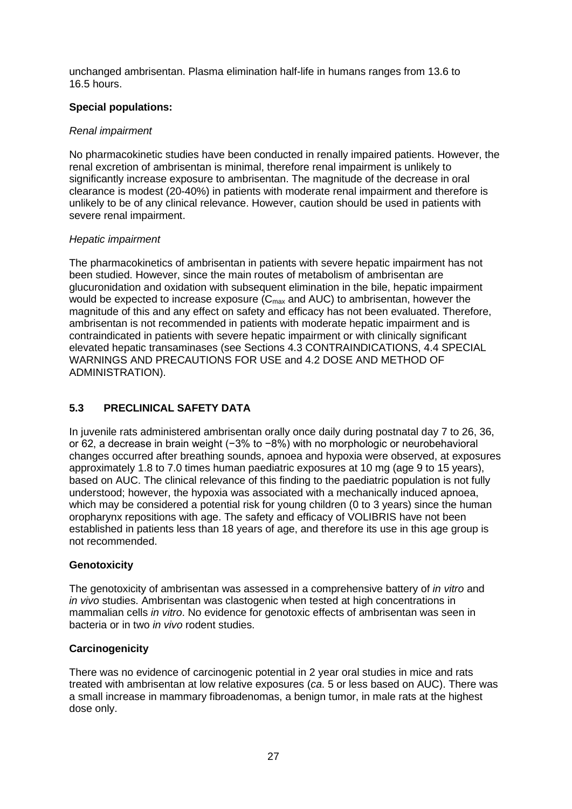unchanged ambrisentan. Plasma elimination half-life in humans ranges from 13.6 to 16.5 hours.

### **Special populations:**

### *Renal impairment*

No pharmacokinetic studies have been conducted in renally impaired patients. However, the renal excretion of ambrisentan is minimal, therefore renal impairment is unlikely to significantly increase exposure to ambrisentan. The magnitude of the decrease in oral clearance is modest (20-40%) in patients with moderate renal impairment and therefore is unlikely to be of any clinical relevance. However, caution should be used in patients with severe renal impairment.

### *Hepatic impairment*

The pharmacokinetics of ambrisentan in patients with severe hepatic impairment has not been studied. However, since the main routes of metabolism of ambrisentan are glucuronidation and oxidation with subsequent elimination in the bile, hepatic impairment would be expected to increase exposure  $(C_{\text{max}}$  and AUC) to ambrisentan, however the magnitude of this and any effect on safety and efficacy has not been evaluated. Therefore, ambrisentan is not recommended in patients with moderate hepatic impairment and is contraindicated in patients with severe hepatic impairment or with clinically significant elevated hepatic transaminases (see Sections 4.3 CONTRAINDICATIONS, 4.4 SPECIAL WARNINGS AND PRECAUTIONS FOR USE and 4.2 DOSE AND METHOD OF ADMINISTRATION).

### **5.3 PRECLINICAL SAFETY DATA**

In juvenile rats administered ambrisentan orally once daily during postnatal day 7 to 26, 36, or 62, a decrease in brain weight (-3% to -8%) with no morphologic or neurobehavioral changes occurred after breathing sounds, apnoea and hypoxia were observed, at exposures approximately 1.8 to 7.0 times human paediatric exposures at 10 mg (age 9 to 15 years), based on AUC. The clinical relevance of this finding to the paediatric population is not fully understood; however, the hypoxia was associated with a mechanically induced apnoea, which may be considered a potential risk for young children (0 to 3 years) since the human oropharynx repositions with age. The safety and efficacy of VOLIBRIS have not been established in patients less than 18 years of age, and therefore its use in this age group is not recommended.

### **Genotoxicity**

The genotoxicity of ambrisentan was assessed in a comprehensive battery of *in vitro* and *in vivo* studies. Ambrisentan was clastogenic when tested at high concentrations in mammalian cells *in vitro*. No evidence for genotoxic effects of ambrisentan was seen in bacteria or in two *in vivo* rodent studies.

### **Carcinogenicity**

There was no evidence of carcinogenic potential in 2 year oral studies in mice and rats treated with ambrisentan at low relative exposures (*ca*. 5 or less based on AUC). There was a small increase in mammary fibroadenomas, a benign tumor, in male rats at the highest dose only.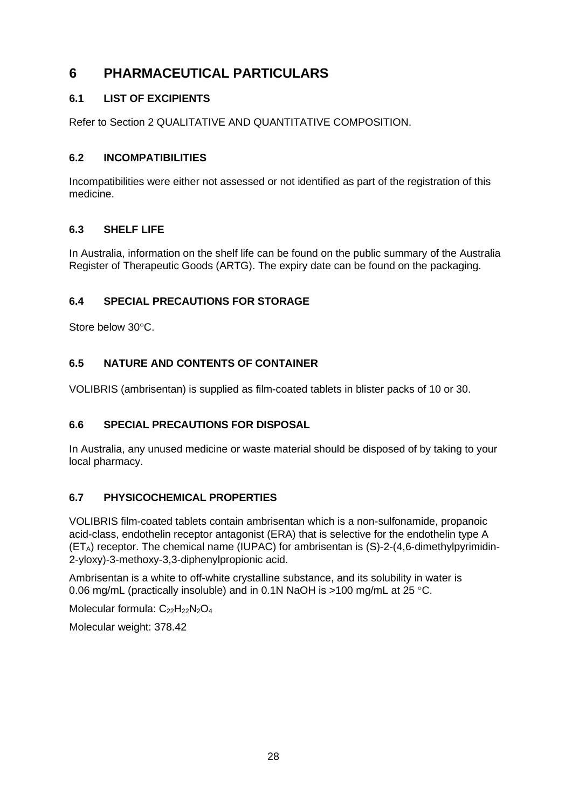# **6 PHARMACEUTICAL PARTICULARS**

## **6.1 LIST OF EXCIPIENTS**

Refer to Section 2 QUALITATIVE AND QUANTITATIVE COMPOSITION.

## **6.2 INCOMPATIBILITIES**

Incompatibilities were either not assessed or not identified as part of the registration of this medicine.

## **6.3 SHELF LIFE**

In Australia, information on the shelf life can be found on the public summary of the Australia Register of Therapeutic Goods (ARTG). The expiry date can be found on the packaging.

## **6.4 SPECIAL PRECAUTIONS FOR STORAGE**

Store below 30°C.

## **6.5 NATURE AND CONTENTS OF CONTAINER**

VOLIBRIS (ambrisentan) is supplied as film-coated tablets in blister packs of 10 or 30.

## **6.6 SPECIAL PRECAUTIONS FOR DISPOSAL**

In Australia, any unused medicine or waste material should be disposed of by taking to your local pharmacy.

## **6.7 PHYSICOCHEMICAL PROPERTIES**

VOLIBRIS film-coated tablets contain ambrisentan which is a non-sulfonamide, propanoic acid-class, endothelin receptor antagonist (ERA) that is selective for the endothelin type A  $(ET_A)$  receptor. The chemical name (IUPAC) for ambrisentan is  $(S)-2-(4,6-dimethylpyrimidin-$ 2-yloxy)-3-methoxy-3,3-diphenylpropionic acid.

Ambrisentan is a white to off-white crystalline substance, and its solubility in water is 0.06 mg/mL (practically insoluble) and in 0.1N NaOH is >100 mg/mL at 25 °C.

Molecular formula: C<sub>22</sub>H<sub>22</sub>N<sub>2</sub>O<sub>4</sub>

Molecular weight: 378.42